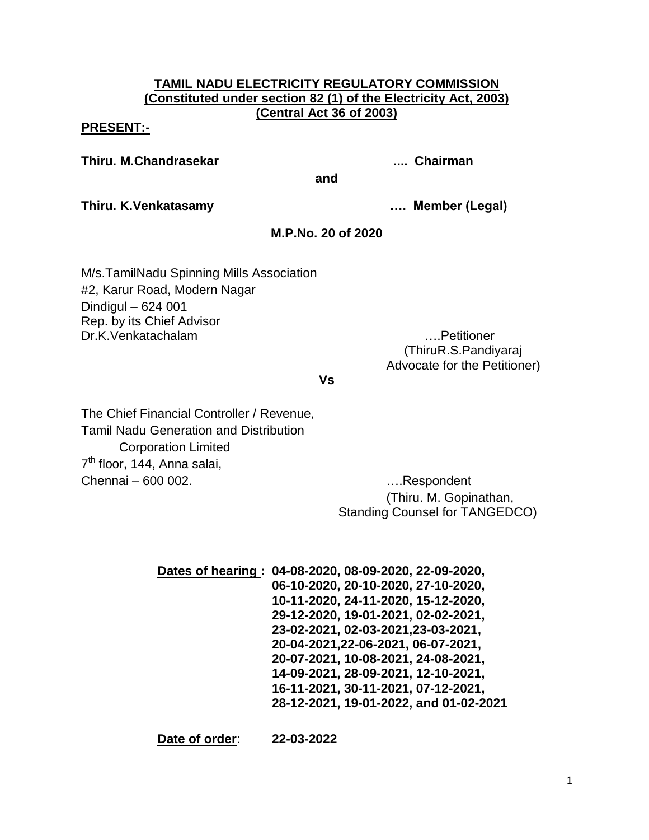## **TAMIL NADU ELECTRICITY REGULATORY COMMISSION (Constituted under section 82 (1) of the Electricity Act, 2003) (Central Act 36 of 2003)**

## **PRESENT:-**

**Thiru. M.Chandrasekar .... Chairman**

**and**

**Thiru. K.Venkatasamy …. Member (Legal)**

# **M.P.No. 20 of 2020**

M/s.TamilNadu Spinning Mills Association #2, Karur Road, Modern Nagar Dindigul – 624 001 Rep. by its Chief Advisor Dr.K.Venkatachalam ….Petitioner

 (ThiruR.S.Pandiyaraj Advocate for the Petitioner)

#### **Vs**

The Chief Financial Controller / Revenue, Tamil Nadu Generation and Distribution Corporation Limited 7<sup>th</sup> floor, 144, Anna salai, Chennai – 600 002. Chennai – 600 002.

(Thiru. M. Gopinathan, Standing Counsel for TANGEDCO)

| Dates of hearing: 04-08-2020, 08-09-2020, 22-09-2020, |
|-------------------------------------------------------|
| 06-10-2020, 20-10-2020, 27-10-2020,                   |
| 10-11-2020, 24-11-2020, 15-12-2020,                   |
| 29-12-2020, 19-01-2021, 02-02-2021,                   |
| 23-02-2021, 02-03-2021, 23-03-2021,                   |
| 20-04-2021, 22-06-2021, 06-07-2021,                   |
| 20-07-2021, 10-08-2021, 24-08-2021,                   |
| 14-09-2021, 28-09-2021, 12-10-2021,                   |
| 16-11-2021, 30-11-2021, 07-12-2021,                   |
| 28-12-2021, 19-01-2022, and 01-02-2021                |
|                                                       |

**Date of order**: **22-03-2022**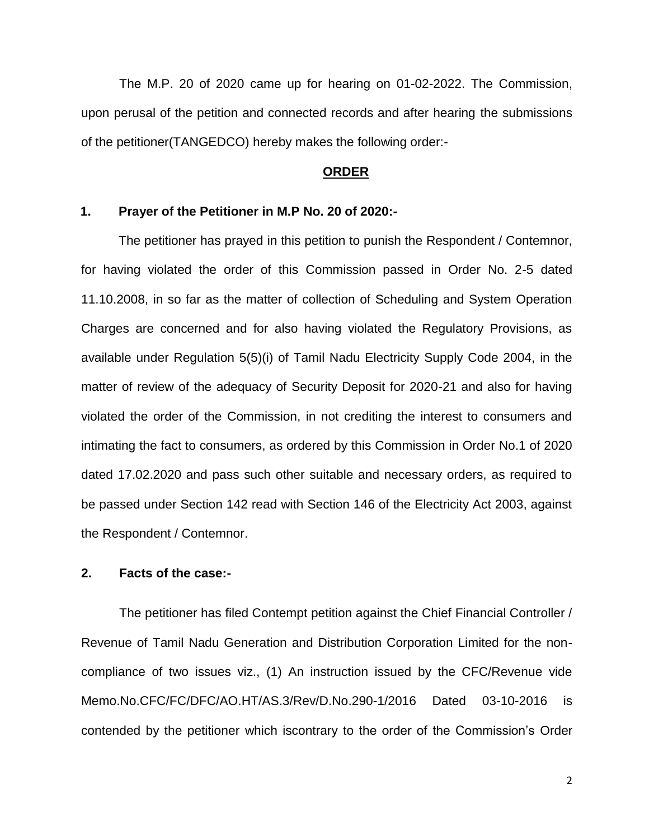The M.P. 20 of 2020 came up for hearing on 01-02-2022. The Commission, upon perusal of the petition and connected records and after hearing the submissions of the petitioner(TANGEDCO) hereby makes the following order:-

## **ORDER**

## **1. Prayer of the Petitioner in M.P No. 20 of 2020:-**

The petitioner has prayed in this petition to punish the Respondent / Contemnor, for having violated the order of this Commission passed in Order No. 2-5 dated 11.10.2008, in so far as the matter of collection of Scheduling and System Operation Charges are concerned and for also having violated the Regulatory Provisions, as available under Regulation 5(5)(i) of Tamil Nadu Electricity Supply Code 2004, in the matter of review of the adequacy of Security Deposit for 2020-21 and also for having violated the order of the Commission, in not crediting the interest to consumers and intimating the fact to consumers, as ordered by this Commission in Order No.1 of 2020 dated 17.02.2020 and pass such other suitable and necessary orders, as required to be passed under Section 142 read with Section 146 of the Electricity Act 2003, against the Respondent / Contemnor.

#### **2. Facts of the case:-**

The petitioner has filed Contempt petition against the Chief Financial Controller / Revenue of Tamil Nadu Generation and Distribution Corporation Limited for the noncompliance of two issues viz., (1) An instruction issued by the CFC/Revenue vide Memo.No.CFC/FC/DFC/AO.HT/AS.3/Rev/D.No.290-1/2016 Dated 03-10-2016 is contended by the petitioner which iscontrary to the order of the Commission's Order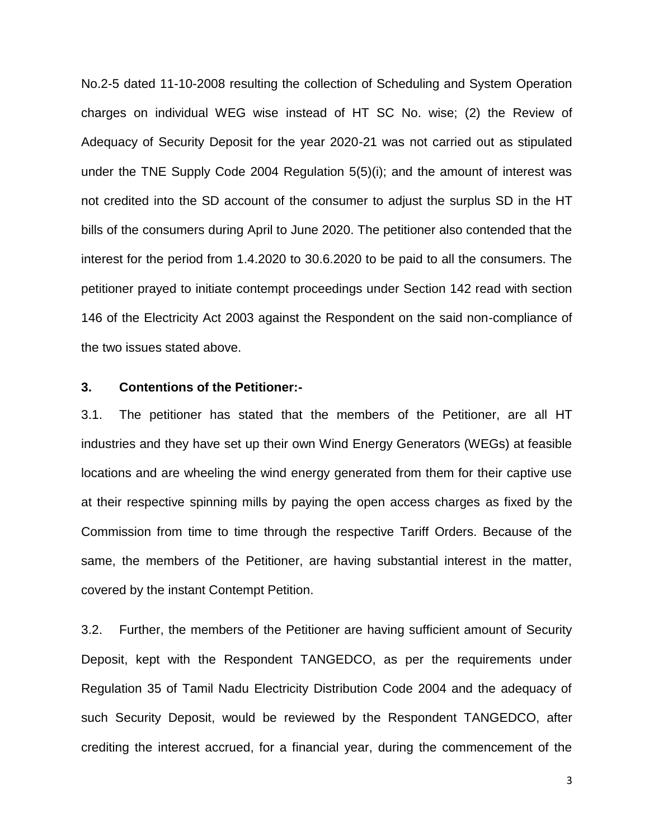No.2-5 dated 11-10-2008 resulting the collection of Scheduling and System Operation charges on individual WEG wise instead of HT SC No. wise; (2) the Review of Adequacy of Security Deposit for the year 2020-21 was not carried out as stipulated under the TNE Supply Code 2004 Regulation 5(5)(i); and the amount of interest was not credited into the SD account of the consumer to adjust the surplus SD in the HT bills of the consumers during April to June 2020. The petitioner also contended that the interest for the period from 1.4.2020 to 30.6.2020 to be paid to all the consumers. The petitioner prayed to initiate contempt proceedings under Section 142 read with section 146 of the Electricity Act 2003 against the Respondent on the said non-compliance of the two issues stated above.

## **3. Contentions of the Petitioner:-**

3.1. The petitioner has stated that the members of the Petitioner, are all HT industries and they have set up their own Wind Energy Generators (WEGs) at feasible locations and are wheeling the wind energy generated from them for their captive use at their respective spinning mills by paying the open access charges as fixed by the Commission from time to time through the respective Tariff Orders. Because of the same, the members of the Petitioner, are having substantial interest in the matter, covered by the instant Contempt Petition.

3.2. Further, the members of the Petitioner are having sufficient amount of Security Deposit, kept with the Respondent TANGEDCO, as per the requirements under Regulation 35 of Tamil Nadu Electricity Distribution Code 2004 and the adequacy of such Security Deposit, would be reviewed by the Respondent TANGEDCO, after crediting the interest accrued, for a financial year, during the commencement of the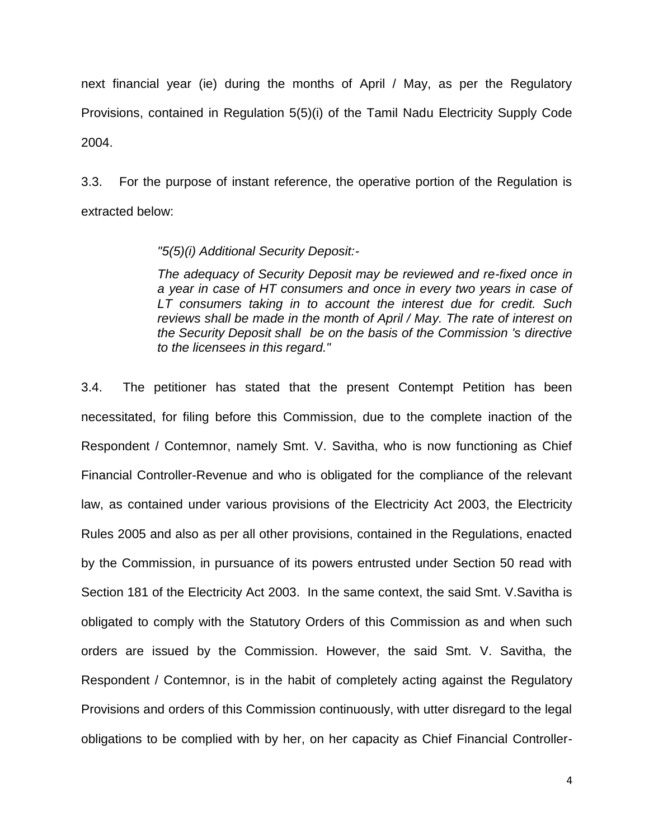next financial year (ie) during the months of April / May, as per the Regulatory Provisions, contained in Regulation 5(5)(i) of the Tamil Nadu Electricity Supply Code 2004.

3.3. For the purpose of instant reference, the operative portion of the Regulation is extracted below:

## *"5(5)(i) Additional Security Deposit:-*

*The adequacy of Security Deposit may be reviewed and re-fixed once in a year in case of HT consumers and once in every two years in case of LT consumers taking in to account the interest due for credit. Such reviews shall be made in the month of April / May. The rate of interest on the Security Deposit shall be on the basis of the Commission 's directive to the licensees in this regard."*

3.4. The petitioner has stated that the present Contempt Petition has been necessitated, for filing before this Commission, due to the complete inaction of the Respondent / Contemnor, namely Smt. V. Savitha, who is now functioning as Chief Financial Controller-Revenue and who is obligated for the compliance of the relevant law, as contained under various provisions of the Electricity Act 2003, the Electricity Rules 2005 and also as per all other provisions, contained in the Regulations, enacted by the Commission, in pursuance of its powers entrusted under Section 50 read with Section 181 of the Electricity Act 2003. In the same context, the said Smt. V.Savitha is obligated to comply with the Statutory Orders of this Commission as and when such orders are issued by the Commission. However, the said Smt. V. Savitha, the Respondent / Contemnor, is in the habit of completely acting against the Regulatory Provisions and orders of this Commission continuously, with utter disregard to the legal obligations to be complied with by her, on her capacity as Chief Financial Controller-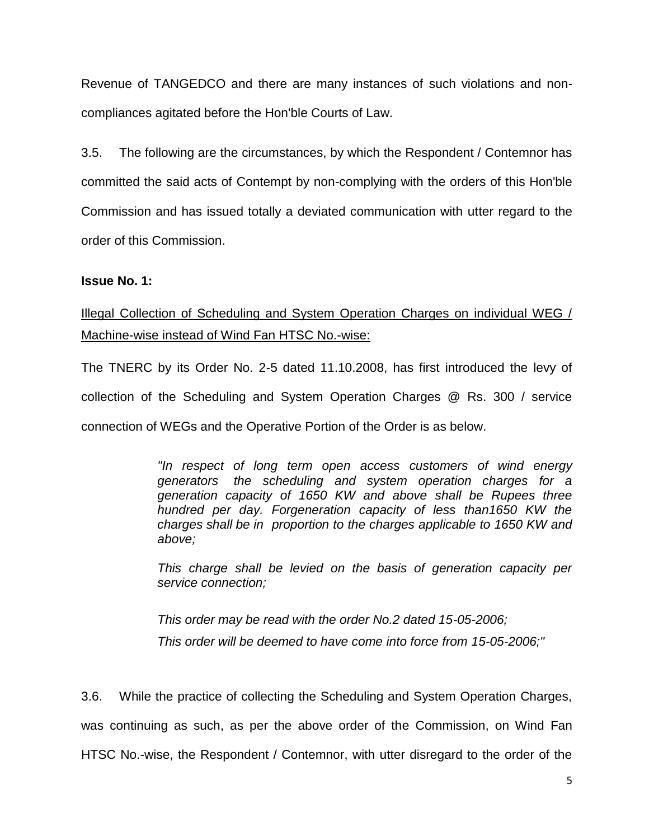Revenue of TANGEDCO and there are many instances of such violations and noncompliances agitated before the Hon'ble Courts of Law.

3.5. The following are the circumstances, by which the Respondent / Contemnor has committed the said acts of Contempt by non-complying with the orders of this Hon'ble Commission and has issued totally a deviated communication with utter regard to the order of this Commission.

## **Issue No. 1:**

Illegal Collection of Scheduling and System Operation Charges on individual WEG / Machine-wise instead of Wind Fan HTSC No.-wise:

The TNERC by its Order No. 2-5 dated 11.10.2008, has first introduced the levy of collection of the Scheduling and System Operation Charges @ Rs. 300 / service connection of WEGs and the Operative Portion of the Order is as below.

> *"In respect of long term open access customers of wind energy generators the scheduling and system operation charges for a generation capacity of 1650 KW and above shall be Rupees three hundred per day. Forgeneration capacity of less than1650 KW the charges shall be in proportion to the charges applicable to 1650 KW and above;*

> *This charge shall be levied on the basis of generation capacity per service connection;*

*This order may be read with the order No.2 dated 15-05-2006; This order will be deemed to have come into force from 15-05-2006;"*

3.6. While the practice of collecting the Scheduling and System Operation Charges, was continuing as such, as per the above order of the Commission, on Wind Fan HTSC No.-wise, the Respondent / Contemnor, with utter disregard to the order of the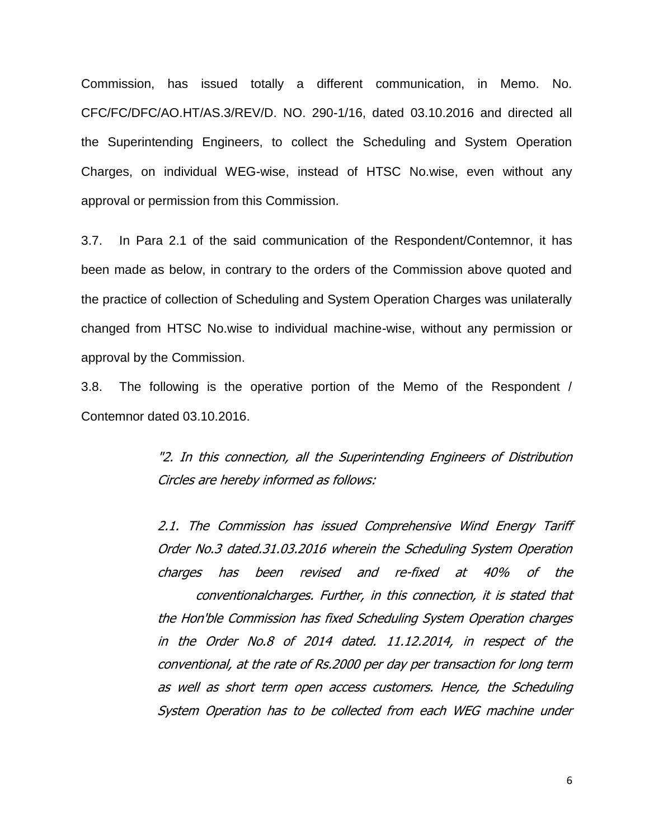Commission, has issued totally a different communication, in Memo. No. CFC/FC/DFC/AO.HT/AS.3/REV/D. NO. 290-1/16, dated 03.10.2016 and directed all the Superintending Engineers, to collect the Scheduling and System Operation Charges, on individual WEG-wise, instead of HTSC No.wise, even without any approval or permission from this Commission.

3.7. In Para 2.1 of the said communication of the Respondent/Contemnor, it has been made as below, in contrary to the orders of the Commission above quoted and the practice of collection of Scheduling and System Operation Charges was unilaterally changed from HTSC No.wise to individual machine-wise, without any permission or approval by the Commission.

3.8. The following is the operative portion of the Memo of the Respondent / Contemnor dated 03.10.2016.

> "2. In this connection, all the Superintending Engineers of Distribution Circles are hereby informed as follows:

> 2.1. The Commission has issued Comprehensive Wind Energy Tariff Order No.3 dated.31.03.2016 wherein the Scheduling System Operation charges has been revised and re-fixed at 40% of the conventionalcharges. Further, in this connection, it is stated that the Hon'ble Commission has fixed Scheduling System Operation charges in the Order No.8 of 2014 dated. 11.12.2014, in respect of the conventional, at the rate of Rs.2000 per day per transaction for long term as well as short term open access customers. Hence, the Scheduling System Operation has to be collected from each WEG machine under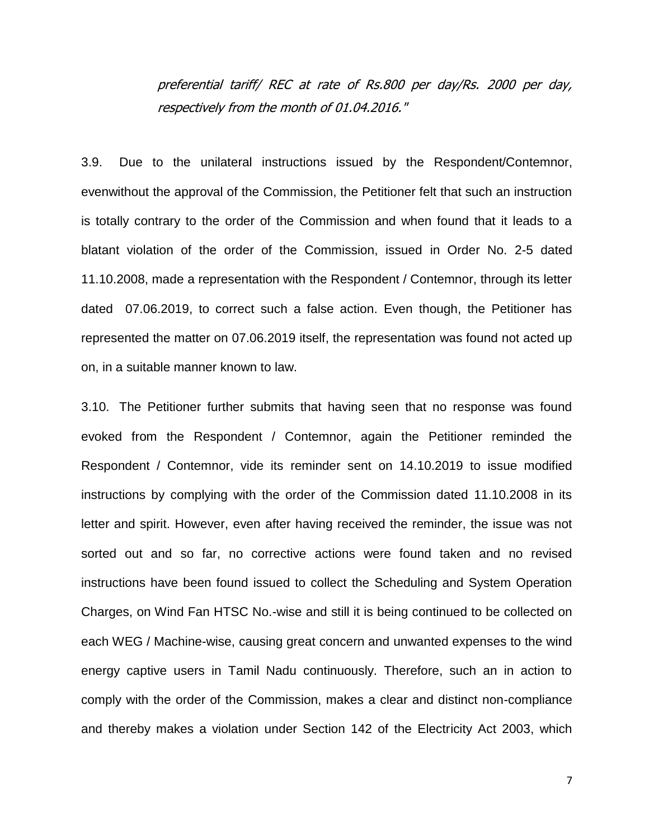preferential tariff/ REC at rate of Rs.800 per day/Rs. 2000 per day, respectively from the month of 01.04.2016."

3.9. Due to the unilateral instructions issued by the Respondent/Contemnor, evenwithout the approval of the Commission, the Petitioner felt that such an instruction is totally contrary to the order of the Commission and when found that it leads to a blatant violation of the order of the Commission, issued in Order No. 2-5 dated 11.10.2008, made a representation with the Respondent / Contemnor, through its letter dated 07.06.2019, to correct such a false action. Even though, the Petitioner has represented the matter on 07.06.2019 itself, the representation was found not acted up on, in a suitable manner known to law.

3.10. The Petitioner further submits that having seen that no response was found evoked from the Respondent / Contemnor, again the Petitioner reminded the Respondent / Contemnor, vide its reminder sent on 14.10.2019 to issue modified instructions by complying with the order of the Commission dated 11.10.2008 in its letter and spirit. However, even after having received the reminder, the issue was not sorted out and so far, no corrective actions were found taken and no revised instructions have been found issued to collect the Scheduling and System Operation Charges, on Wind Fan HTSC No.-wise and still it is being continued to be collected on each WEG / Machine-wise, causing great concern and unwanted expenses to the wind energy captive users in Tamil Nadu continuously. Therefore, such an in action to comply with the order of the Commission, makes a clear and distinct non-compliance and thereby makes a violation under Section 142 of the Electricity Act 2003, which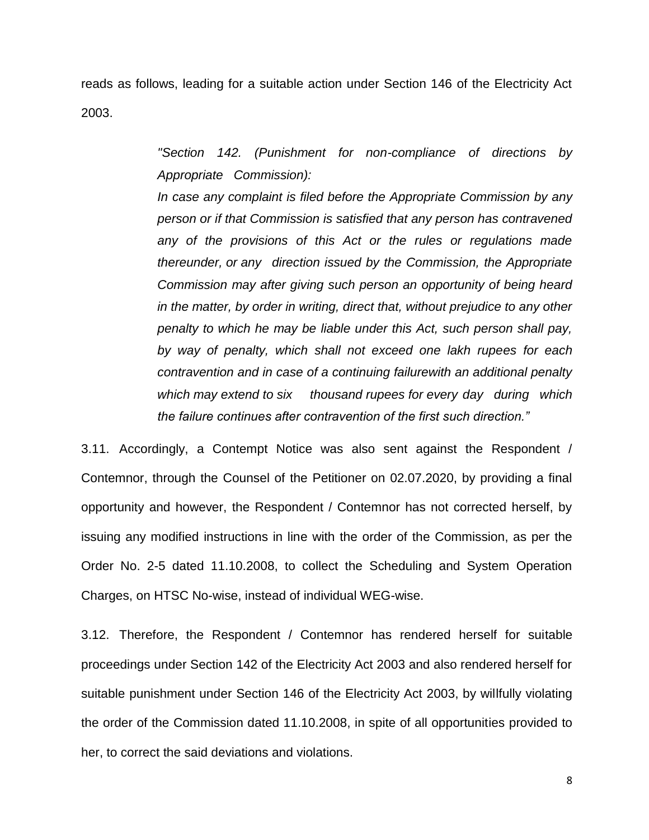reads as follows, leading for a suitable action under Section 146 of the Electricity Act 2003.

> *"Section 142. (Punishment for non-compliance of directions by Appropriate Commission):*

> *In case any complaint is filed before the Appropriate Commission by any person or if that Commission is satisfied that any person has contravened any of the provisions of this Act or the rules or regulations made thereunder, or any direction issued by the Commission, the Appropriate Commission may after giving such person an opportunity of being heard in the matter, by order in writing, direct that, without prejudice to any other penalty to which he may be liable under this Act, such person shall pay, by way of penalty, which shall not exceed one lakh rupees for each contravention and in case of a continuing failurewith an additional penalty which may extend to six thousand rupees for every day during which the failure continues after contravention of the first such direction."*

3.11. Accordingly, a Contempt Notice was also sent against the Respondent / Contemnor, through the Counsel of the Petitioner on 02.07.2020, by providing a final opportunity and however, the Respondent / Contemnor has not corrected herself, by issuing any modified instructions in line with the order of the Commission, as per the Order No. 2-5 dated 11.10.2008, to collect the Scheduling and System Operation Charges, on HTSC No-wise, instead of individual WEG-wise.

3.12. Therefore, the Respondent / Contemnor has rendered herself for suitable proceedings under Section 142 of the Electricity Act 2003 and also rendered herself for suitable punishment under Section 146 of the Electricity Act 2003, by willfully violating the order of the Commission dated 11.10.2008, in spite of all opportunities provided to her, to correct the said deviations and violations.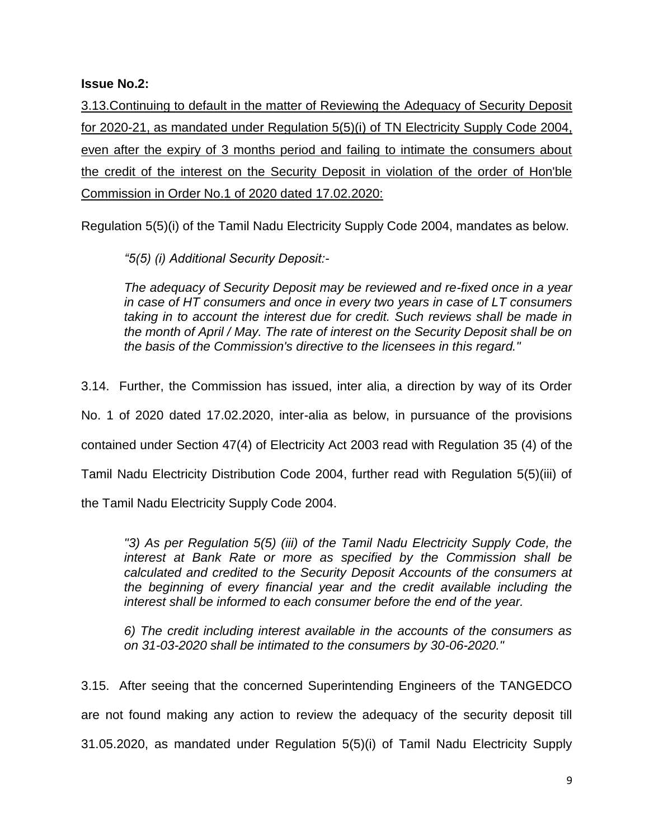# **Issue No.2:**

3.13.Continuing to default in the matter of Reviewing the Adequacy of Security Deposit for 2020-21, as mandated under Regulation 5(5)(i) of TN Electricity Supply Code 2004, even after the expiry of 3 months period and failing to intimate the consumers about the credit of the interest on the Security Deposit in violation of the order of Hon'ble Commission in Order No.1 of 2020 dated 17.02.2020:

Regulation 5(5)(i) of the Tamil Nadu Electricity Supply Code 2004, mandates as below.

*"5(5) (i) Additional Security Deposit:-*

*The adequacy of Security Deposit may be reviewed and re-fixed once in a year in case of HT consumers and once in every two years in case of LT consumers taking in to account the interest due for credit. Such reviews shall be made in the month of April / May. The rate of interest on the Security Deposit shall be on the basis of the Commission's directive to the licensees in this regard."*

3.14. Further, the Commission has issued, inter alia, a direction by way of its Order

No. 1 of 2020 dated 17.02.2020, inter-alia as below, in pursuance of the provisions

contained under Section 47(4) of Electricity Act 2003 read with Regulation 35 (4) of the

Tamil Nadu Electricity Distribution Code 2004, further read with Regulation 5(5)(iii) of

the Tamil Nadu Electricity Supply Code 2004.

*"3) As per Regulation 5(5) (iii) of the Tamil Nadu Electricity Supply Code, the interest at Bank Rate or more as specified by the Commission shall be calculated and credited to the Security Deposit Accounts of the consumers at the beginning of every financial year and the credit available including the interest shall be informed to each consumer before the end of the year.*

*6) The credit including interest available in the accounts of the consumers as on 31-03-2020 shall be intimated to the consumers by 30-06-2020."*

3.15. After seeing that the concerned Superintending Engineers of the TANGEDCO are not found making any action to review the adequacy of the security deposit till 31.05.2020, as mandated under Regulation 5(5)(i) of Tamil Nadu Electricity Supply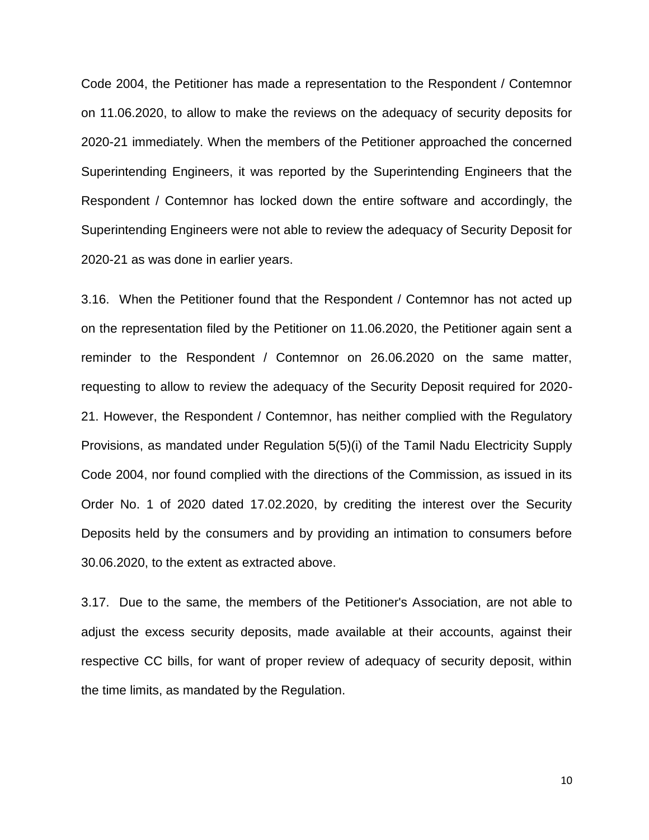Code 2004, the Petitioner has made a representation to the Respondent / Contemnor on 11.06.2020, to allow to make the reviews on the adequacy of security deposits for 2020-21 immediately. When the members of the Petitioner approached the concerned Superintending Engineers, it was reported by the Superintending Engineers that the Respondent / Contemnor has locked down the entire software and accordingly, the Superintending Engineers were not able to review the adequacy of Security Deposit for 2020-21 as was done in earlier years.

3.16. When the Petitioner found that the Respondent / Contemnor has not acted up on the representation filed by the Petitioner on 11.06.2020, the Petitioner again sent a reminder to the Respondent / Contemnor on 26.06.2020 on the same matter, requesting to allow to review the adequacy of the Security Deposit required for 2020- 21. However, the Respondent / Contemnor, has neither complied with the Regulatory Provisions, as mandated under Regulation 5(5)(i) of the Tamil Nadu Electricity Supply Code 2004, nor found complied with the directions of the Commission, as issued in its Order No. 1 of 2020 dated 17.02.2020, by crediting the interest over the Security Deposits held by the consumers and by providing an intimation to consumers before 30.06.2020, to the extent as extracted above.

3.17. Due to the same, the members of the Petitioner's Association, are not able to adjust the excess security deposits, made available at their accounts, against their respective CC bills, for want of proper review of adequacy of security deposit, within the time limits, as mandated by the Regulation.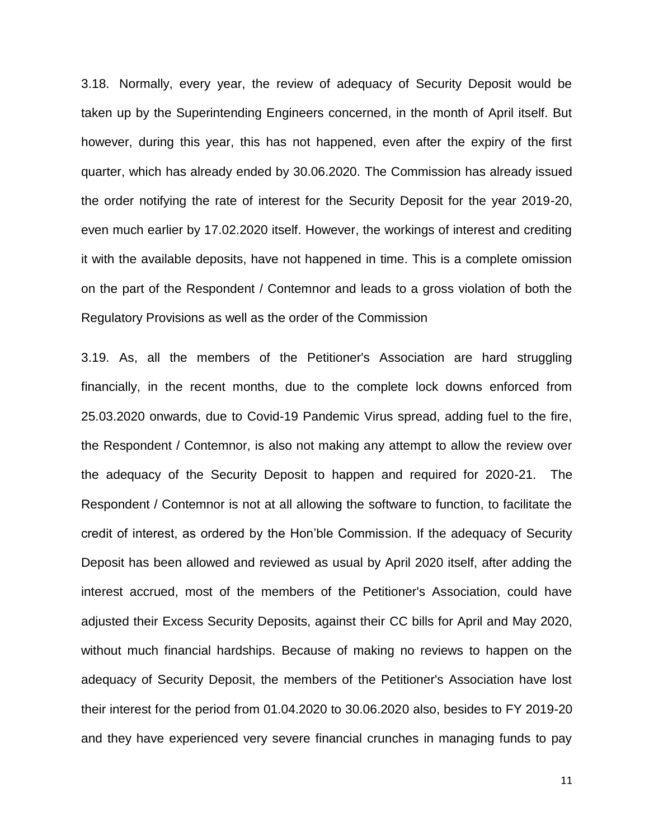3.18. Normally, every year, the review of adequacy of Security Deposit would be taken up by the Superintending Engineers concerned, in the month of April itself. But however, during this year, this has not happened, even after the expiry of the first quarter, which has already ended by 30.06.2020. The Commission has already issued the order notifying the rate of interest for the Security Deposit for the year 2019-20, even much earlier by 17.02.2020 itself. However, the workings of interest and crediting it with the available deposits, have not happened in time. This is a complete omission on the part of the Respondent / Contemnor and leads to a gross violation of both the Regulatory Provisions as well as the order of the Commission

3.19. As, all the members of the Petitioner's Association are hard struggling financially, in the recent months, due to the complete lock downs enforced from 25.03.2020 onwards, due to Covid-19 Pandemic Virus spread, adding fuel to the fire, the Respondent / Contemnor, is also not making any attempt to allow the review over the adequacy of the Security Deposit to happen and required for 2020-21. The Respondent / Contemnor is not at all allowing the software to function, to facilitate the credit of interest, as ordered by the Hon'ble Commission. If the adequacy of Security Deposit has been allowed and reviewed as usual by April 2020 itself, after adding the interest accrued, most of the members of the Petitioner's Association, could have adjusted their Excess Security Deposits, against their CC bills for April and May 2020, without much financial hardships. Because of making no reviews to happen on the adequacy of Security Deposit, the members of the Petitioner's Association have lost their interest for the period from 01.04.2020 to 30.06.2020 also, besides to FY 2019-20 and they have experienced very severe financial crunches in managing funds to pay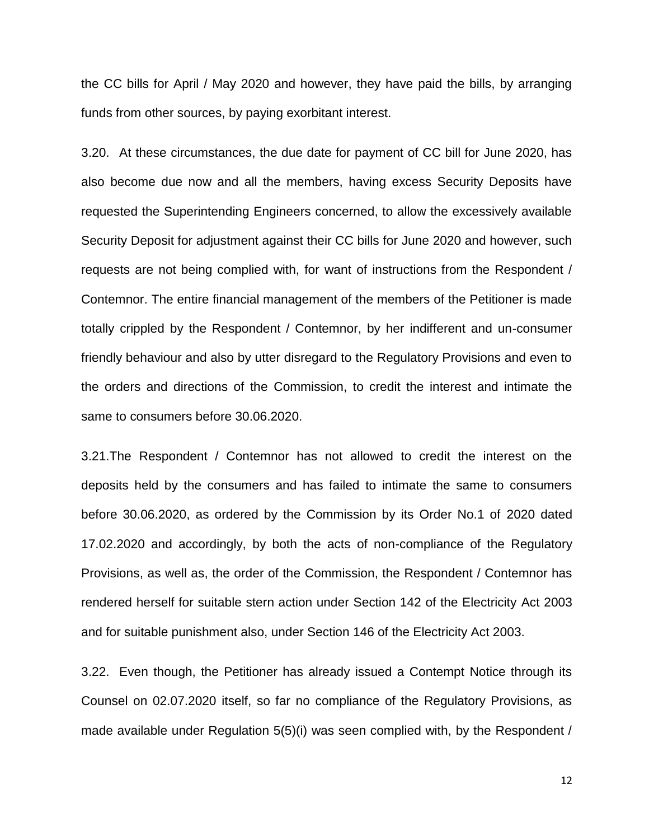the CC bills for April / May 2020 and however, they have paid the bills, by arranging funds from other sources, by paying exorbitant interest.

3.20. At these circumstances, the due date for payment of CC bill for June 2020, has also become due now and all the members, having excess Security Deposits have requested the Superintending Engineers concerned, to allow the excessively available Security Deposit for adjustment against their CC bills for June 2020 and however, such requests are not being complied with, for want of instructions from the Respondent / Contemnor. The entire financial management of the members of the Petitioner is made totally crippled by the Respondent / Contemnor, by her indifferent and un-consumer friendly behaviour and also by utter disregard to the Regulatory Provisions and even to the orders and directions of the Commission, to credit the interest and intimate the same to consumers before 30.06.2020.

3.21.The Respondent / Contemnor has not allowed to credit the interest on the deposits held by the consumers and has failed to intimate the same to consumers before 30.06.2020, as ordered by the Commission by its Order No.1 of 2020 dated 17.02.2020 and accordingly, by both the acts of non-compliance of the Regulatory Provisions, as well as, the order of the Commission, the Respondent / Contemnor has rendered herself for suitable stern action under Section 142 of the Electricity Act 2003 and for suitable punishment also, under Section 146 of the Electricity Act 2003.

3.22. Even though, the Petitioner has already issued a Contempt Notice through its Counsel on 02.07.2020 itself, so far no compliance of the Regulatory Provisions, as made available under Regulation 5(5)(i) was seen complied with, by the Respondent /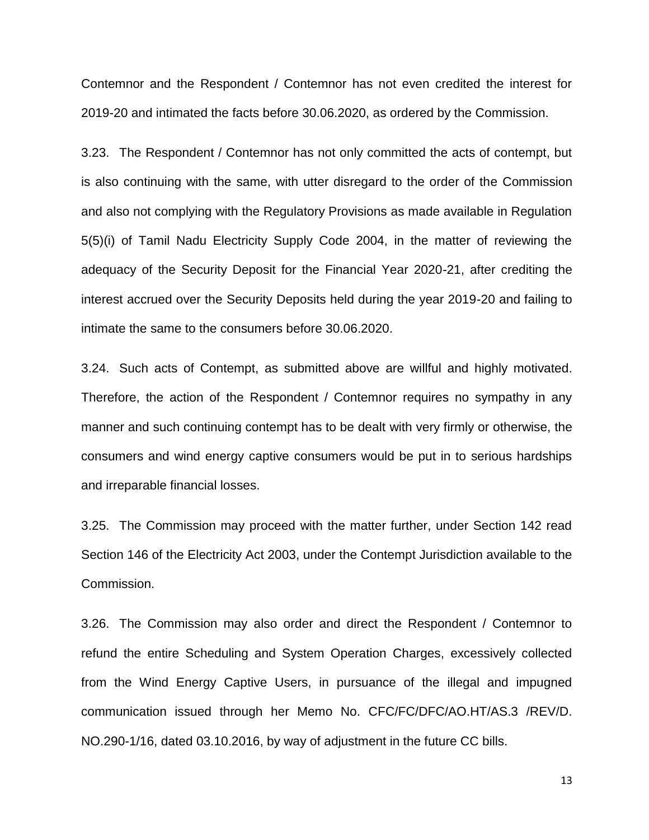Contemnor and the Respondent / Contemnor has not even credited the interest for 2019-20 and intimated the facts before 30.06.2020, as ordered by the Commission.

3.23. The Respondent / Contemnor has not only committed the acts of contempt, but is also continuing with the same, with utter disregard to the order of the Commission and also not complying with the Regulatory Provisions as made available in Regulation 5(5)(i) of Tamil Nadu Electricity Supply Code 2004, in the matter of reviewing the adequacy of the Security Deposit for the Financial Year 2020-21, after crediting the interest accrued over the Security Deposits held during the year 2019-20 and failing to intimate the same to the consumers before 30.06.2020.

3.24. Such acts of Contempt, as submitted above are willful and highly motivated. Therefore, the action of the Respondent / Contemnor requires no sympathy in any manner and such continuing contempt has to be dealt with very firmly or otherwise, the consumers and wind energy captive consumers would be put in to serious hardships and irreparable financial losses.

3.25. The Commission may proceed with the matter further, under Section 142 read Section 146 of the Electricity Act 2003, under the Contempt Jurisdiction available to the Commission.

3.26. The Commission may also order and direct the Respondent / Contemnor to refund the entire Scheduling and System Operation Charges, excessively collected from the Wind Energy Captive Users, in pursuance of the illegal and impugned communication issued through her Memo No. CFC/FC/DFC/AO.HT/AS.3 /REV/D. NO.290-1/16, dated 03.10.2016, by way of adjustment in the future CC bills.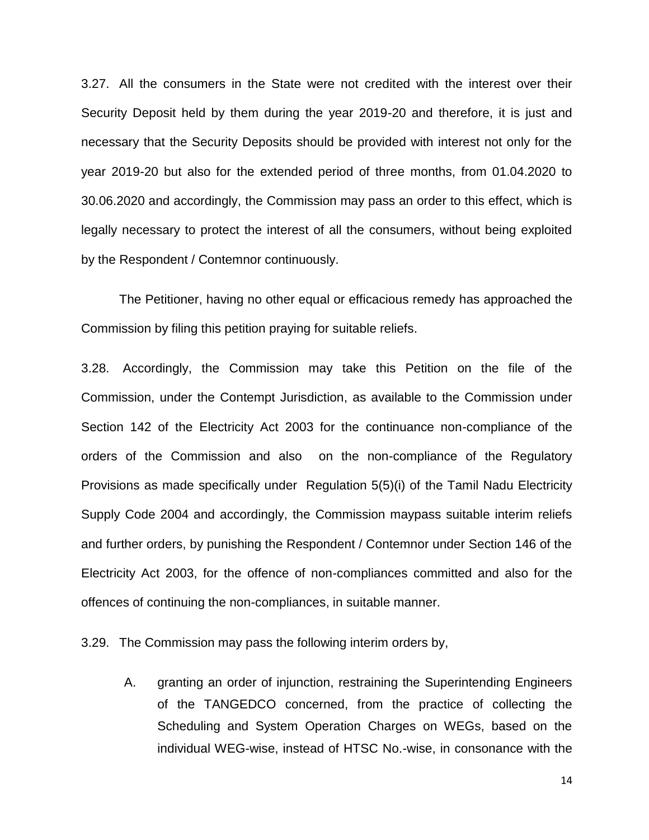3.27. All the consumers in the State were not credited with the interest over their Security Deposit held by them during the year 2019-20 and therefore, it is just and necessary that the Security Deposits should be provided with interest not only for the year 2019-20 but also for the extended period of three months, from 01.04.2020 to 30.06.2020 and accordingly, the Commission may pass an order to this effect, which is legally necessary to protect the interest of all the consumers, without being exploited by the Respondent / Contemnor continuously.

The Petitioner, having no other equal or efficacious remedy has approached the Commission by filing this petition praying for suitable reliefs.

3.28. Accordingly, the Commission may take this Petition on the file of the Commission, under the Contempt Jurisdiction, as available to the Commission under Section 142 of the Electricity Act 2003 for the continuance non-compliance of the orders of the Commission and also on the non-compliance of the Regulatory Provisions as made specifically under Regulation 5(5)(i) of the Tamil Nadu Electricity Supply Code 2004 and accordingly, the Commission maypass suitable interim reliefs and further orders, by punishing the Respondent / Contemnor under Section 146 of the Electricity Act 2003, for the offence of non-compliances committed and also for the offences of continuing the non-compliances, in suitable manner.

3.29. The Commission may pass the following interim orders by,

A. granting an order of injunction, restraining the Superintending Engineers of the TANGEDCO concerned, from the practice of collecting the Scheduling and System Operation Charges on WEGs, based on the individual WEG-wise, instead of HTSC No.-wise, in consonance with the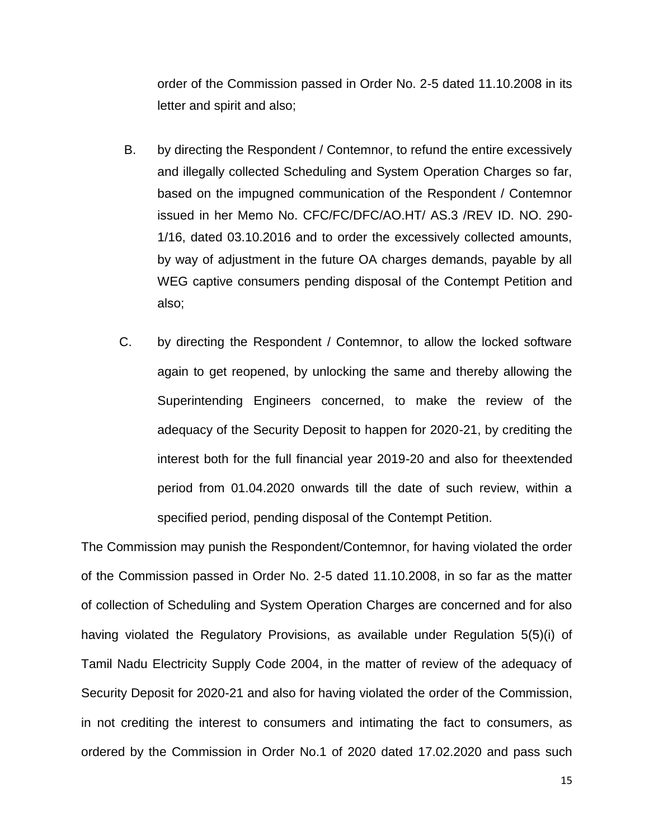order of the Commission passed in Order No. 2-5 dated 11.10.2008 in its letter and spirit and also;

- B. by directing the Respondent / Contemnor, to refund the entire excessively and illegally collected Scheduling and System Operation Charges so far, based on the impugned communication of the Respondent / Contemnor issued in her Memo No. CFC/FC/DFC/AO.HT/ AS.3 /REV ID. NO. 290- 1/16, dated 03.10.2016 and to order the excessively collected amounts, by way of adjustment in the future OA charges demands, payable by all WEG captive consumers pending disposal of the Contempt Petition and also;
- C. by directing the Respondent / Contemnor, to allow the locked software again to get reopened, by unlocking the same and thereby allowing the Superintending Engineers concerned, to make the review of the adequacy of the Security Deposit to happen for 2020-21, by crediting the interest both for the full financial year 2019-20 and also for theextended period from 01.04.2020 onwards till the date of such review, within a specified period, pending disposal of the Contempt Petition.

The Commission may punish the Respondent/Contemnor, for having violated the order of the Commission passed in Order No. 2-5 dated 11.10.2008, in so far as the matter of collection of Scheduling and System Operation Charges are concerned and for also having violated the Regulatory Provisions, as available under Regulation 5(5)(i) of Tamil Nadu Electricity Supply Code 2004, in the matter of review of the adequacy of Security Deposit for 2020-21 and also for having violated the order of the Commission, in not crediting the interest to consumers and intimating the fact to consumers, as ordered by the Commission in Order No.1 of 2020 dated 17.02.2020 and pass such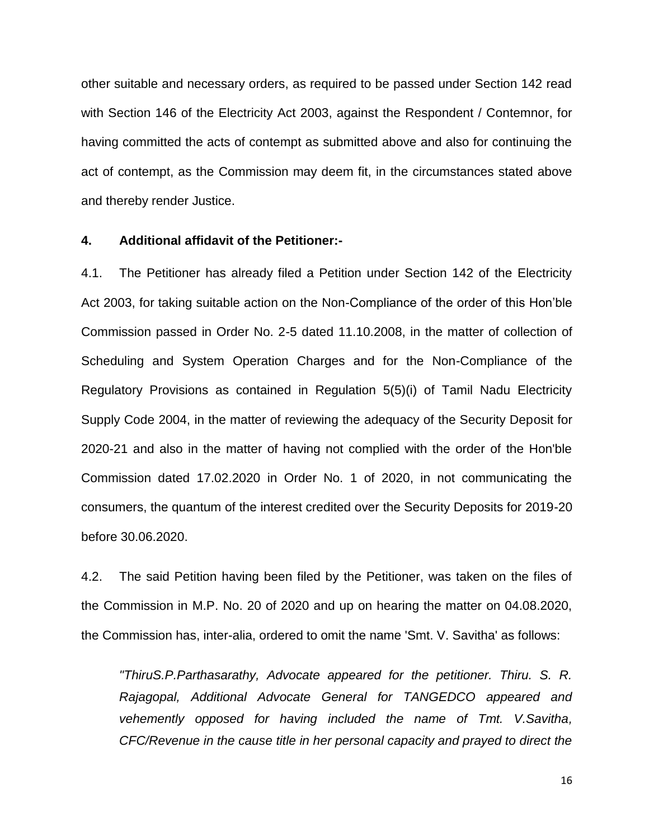other suitable and necessary orders, as required to be passed under Section 142 read with Section 146 of the Electricity Act 2003, against the Respondent / Contemnor, for having committed the acts of contempt as submitted above and also for continuing the act of contempt, as the Commission may deem fit, in the circumstances stated above and thereby render Justice.

#### **4. Additional affidavit of the Petitioner:-**

4.1. The Petitioner has already filed a Petition under Section 142 of the Electricity Act 2003, for taking suitable action on the Non-Compliance of the order of this Hon'ble Commission passed in Order No. 2-5 dated 11.10.2008, in the matter of collection of Scheduling and System Operation Charges and for the Non-Compliance of the Regulatory Provisions as contained in Regulation 5(5)(i) of Tamil Nadu Electricity Supply Code 2004, in the matter of reviewing the adequacy of the Security Deposit for 2020-21 and also in the matter of having not complied with the order of the Hon'ble Commission dated 17.02.2020 in Order No. 1 of 2020, in not communicating the consumers, the quantum of the interest credited over the Security Deposits for 2019-20 before 30.06.2020.

4.2. The said Petition having been filed by the Petitioner, was taken on the files of the Commission in M.P. No. 20 of 2020 and up on hearing the matter on 04.08.2020, the Commission has, inter-alia, ordered to omit the name 'Smt. V. Savitha' as follows:

*"ThiruS.P.Parthasarathy, Advocate appeared for the petitioner. Thiru. S. R. Rajagopal, Additional Advocate General for TANGEDCO appeared and vehemently opposed for having included the name of Tmt. V.Savitha, CFC/Revenue in the cause title in her personal capacity and prayed to direct the*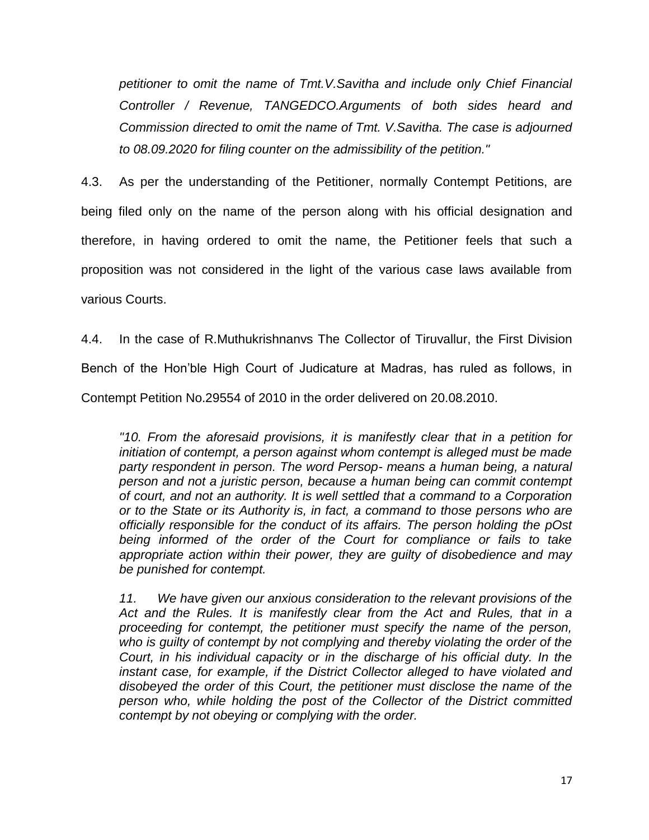*petitioner to omit the name of Tmt.V.Savitha and include only Chief Financial Controller / Revenue, TANGEDCO.Arguments of both sides heard and Commission directed to omit the name of Tmt. V.Savitha. The case is adjourned to 08.09.2020 for filing counter on the admissibility of the petition."*

4.3. As per the understanding of the Petitioner, normally Contempt Petitions, are being filed only on the name of the person along with his official designation and therefore, in having ordered to omit the name, the Petitioner feels that such a proposition was not considered in the light of the various case laws available from various Courts.

4.4. In the case of R.Muthukrishnanvs The Collector of Tiruvallur, the First Division Bench of the Hon'ble High Court of Judicature at Madras, has ruled as follows, in Contempt Petition No.29554 of 2010 in the order delivered on 20.08.2010.

*"10. From the aforesaid provisions, it is manifestly clear that in a petition for initiation of contempt, a person against whom contempt is alleged must be made party respondent in person. The word Persop- means a human being, a natural person and not a juristic person, because a human being can commit contempt of court, and not an authority. It is well settled that a command to a Corporation or to the State or its Authority is, in fact, a command to those persons who are officially responsible for the conduct of its affairs. The person holding the pOst being informed of the order of the Court for compliance or fails to take appropriate action within their power, they are guilty of disobedience and may be punished for contempt.*

*11. We have given our anxious consideration to the relevant provisions of the Act and the Rules. It is manifestly clear from the Act and Rules, that in a proceeding for contempt, the petitioner must specify the name of the person, who is guilty of contempt by not complying and thereby violating the order of the Court, in his individual capacity or in the discharge of his official duty. In the instant case, for example, if the District Collector alleged to have violated and disobeyed the order of this Court, the petitioner must disclose the name of the person who, while holding the post of the Collector of the District committed contempt by not obeying or complying with the order.*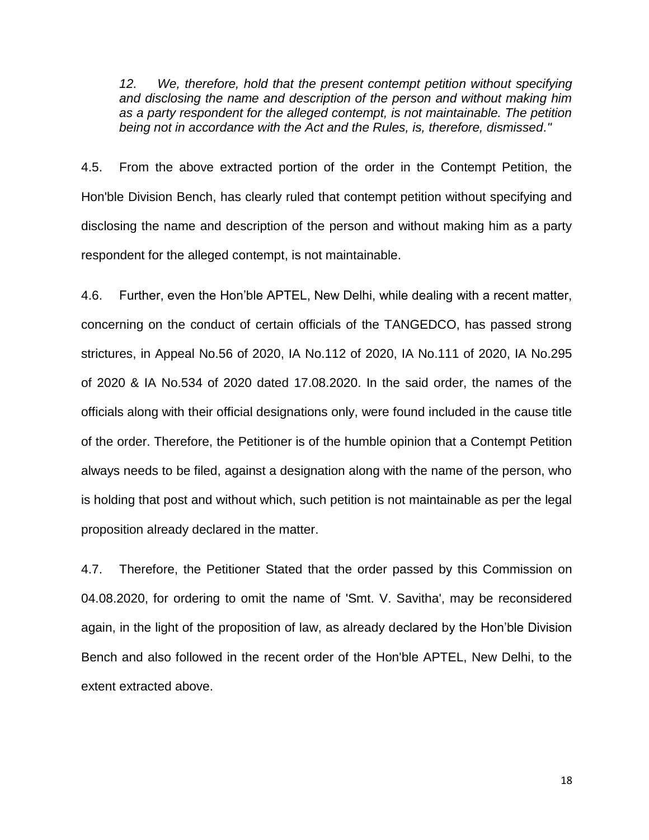*12. We, therefore, hold that the present contempt petition without specifying and disclosing the name and description of the person and without making him as a party respondent for the alleged contempt, is not maintainable. The petition being not in accordance with the Act and the Rules, is, therefore, dismissed."*

4.5. From the above extracted portion of the order in the Contempt Petition, the Hon'ble Division Bench, has clearly ruled that contempt petition without specifying and disclosing the name and description of the person and without making him as a party respondent for the alleged contempt, is not maintainable.

4.6. Further, even the Hon'ble APTEL, New Delhi, while dealing with a recent matter, concerning on the conduct of certain officials of the TANGEDCO, has passed strong strictures, in Appeal No.56 of 2020, IA No.112 of 2020, IA No.111 of 2020, IA No.295 of 2020 & IA No.534 of 2020 dated 17.08.2020. In the said order, the names of the officials along with their official designations only, were found included in the cause title of the order. Therefore, the Petitioner is of the humble opinion that a Contempt Petition always needs to be filed, against a designation along with the name of the person, who is holding that post and without which, such petition is not maintainable as per the legal proposition already declared in the matter.

4.7. Therefore, the Petitioner Stated that the order passed by this Commission on 04.08.2020, for ordering to omit the name of 'Smt. V. Savitha', may be reconsidered again, in the light of the proposition of law, as already declared by the Hon'ble Division Bench and also followed in the recent order of the Hon'ble APTEL, New Delhi, to the extent extracted above.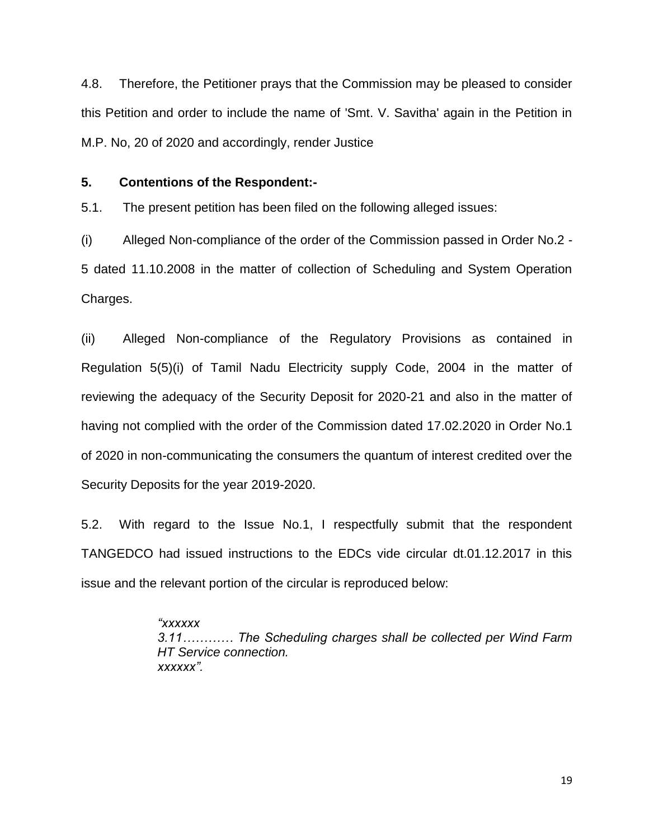4.8. Therefore, the Petitioner prays that the Commission may be pleased to consider this Petition and order to include the name of 'Smt. V. Savitha' again in the Petition in M.P. No, 20 of 2020 and accordingly, render Justice

## **5. Contentions of the Respondent:-**

5.1. The present petition has been filed on the following alleged issues:

(i) Alleged Non-compliance of the order of the Commission passed in Order No.2 - 5 dated 11.10.2008 in the matter of collection of Scheduling and System Operation Charges.

(ii) Alleged Non-compliance of the Regulatory Provisions as contained in Regulation 5(5)(i) of Tamil Nadu Electricity supply Code, 2004 in the matter of reviewing the adequacy of the Security Deposit for 2020-21 and also in the matter of having not complied with the order of the Commission dated 17.02.2020 in Order No.1 of 2020 in non-communicating the consumers the quantum of interest credited over the Security Deposits for the year 2019-2020.

5.2. With regard to the Issue No.1, I respectfully submit that the respondent TANGEDCO had issued instructions to the EDCs vide circular dt.01.12.2017 in this issue and the relevant portion of the circular is reproduced below:

> *"xxxxxx 3.11………… The Scheduling charges shall be collected per Wind Farm HT Service connection. xxxxxx".*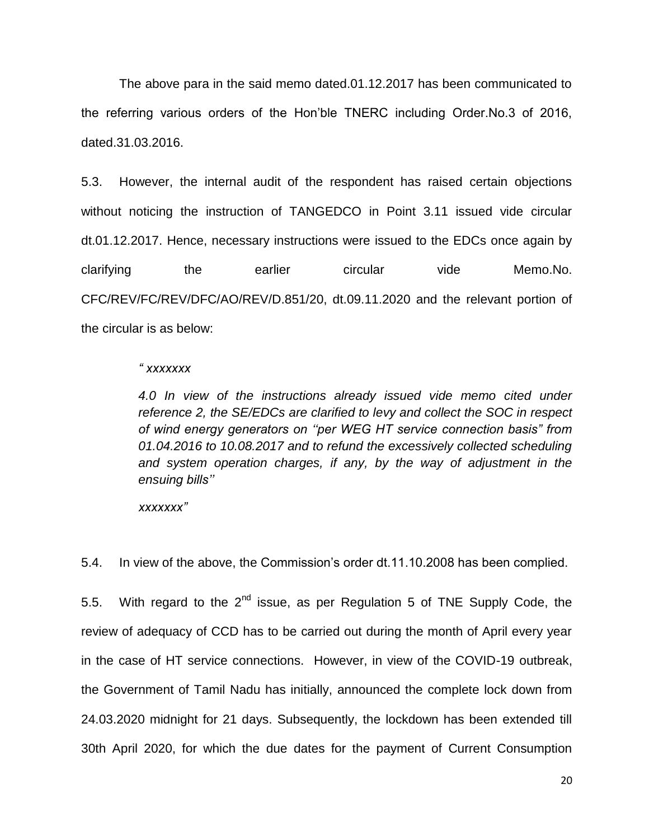The above para in the said memo dated.01.12.2017 has been communicated to the referring various orders of the Hon'ble TNERC including Order.No.3 of 2016, dated.31.03.2016.

5.3. However, the internal audit of the respondent has raised certain objections without noticing the instruction of TANGEDCO in Point 3.11 issued vide circular dt.01.12.2017. Hence, necessary instructions were issued to the EDCs once again by clarifying the earlier circular vide Memo.No. CFC/REV/FC/REV/DFC/AO/REV/D.851/20, dt.09.11.2020 and the relevant portion of the circular is as below:

#### *" xxxxxxx*

*4.0 In view of the instructions already issued vide memo cited under reference 2, the SE/EDCs are clarified to levy and collect the SOC in respect of wind energy generators on ""per WEG HT service connection basis" from 01.04.2016 to 10.08.2017 and to refund the excessively collected scheduling and system operation charges, if any, by the way of adjustment in the ensuing bills""*

*xxxxxxx"*

5.4. In view of the above, the Commission's order dt.11.10.2008 has been complied.

5.5. With regard to the  $2^{nd}$  issue, as per Regulation 5 of TNE Supply Code, the review of adequacy of CCD has to be carried out during the month of April every year in the case of HT service connections. However, in view of the COVID-19 outbreak, the Government of Tamil Nadu has initially, announced the complete lock down from 24.03.2020 midnight for 21 days. Subsequently, the lockdown has been extended till 30th April 2020, for which the due dates for the payment of Current Consumption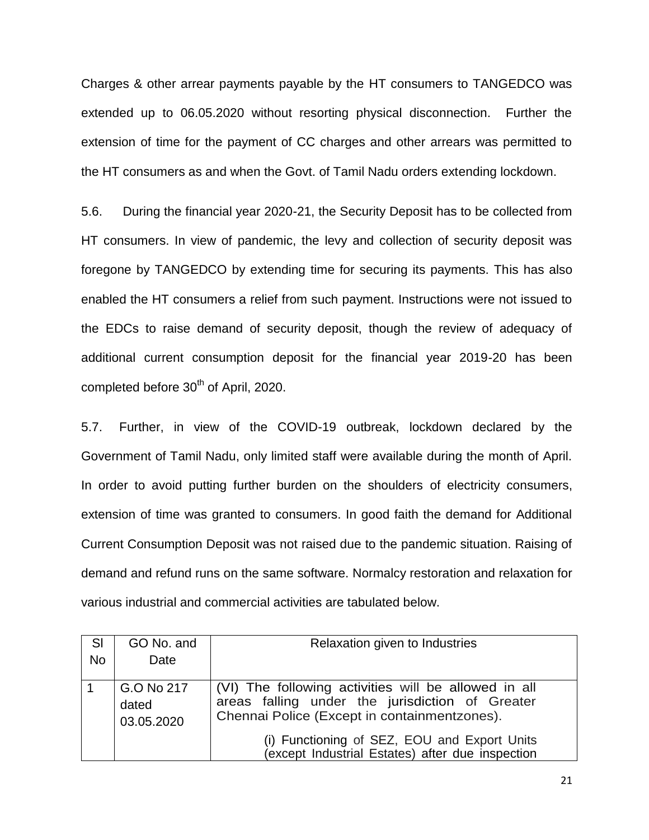Charges & other arrear payments payable by the HT consumers to TANGEDCO was extended up to 06.05.2020 without resorting physical disconnection. Further the extension of time for the payment of CC charges and other arrears was permitted to the HT consumers as and when the Govt. of Tamil Nadu orders extending lockdown.

5.6. During the financial year 2020-21, the Security Deposit has to be collected from HT consumers. In view of pandemic, the levy and collection of security deposit was foregone by TANGEDCO by extending time for securing its payments. This has also enabled the HT consumers a relief from such payment. Instructions were not issued to the EDCs to raise demand of security deposit, though the review of adequacy of additional current consumption deposit for the financial year 2019-20 has been completed before 30<sup>th</sup> of April, 2020.

5.7. Further, in view of the COVID-19 outbreak, lockdown declared by the Government of Tamil Nadu, only limited staff were available during the month of April. In order to avoid putting further burden on the shoulders of electricity consumers, extension of time was granted to consumers. In good faith the demand for Additional Current Consumption Deposit was not raised due to the pandemic situation. Raising of demand and refund runs on the same software. Normalcy restoration and relaxation for various industrial and commercial activities are tabulated below.

| SI<br><b>No</b> | GO No. and<br>Date                | Relaxation given to Industries                                                                                                                          |
|-----------------|-----------------------------------|---------------------------------------------------------------------------------------------------------------------------------------------------------|
|                 | G.O No 217<br>dated<br>03.05.2020 | (VI) The following activities will be allowed in all<br>areas falling under the jurisdiction of Greater<br>Chennai Police (Except in containmentzones). |
|                 |                                   | (i) Functioning of SEZ, EOU and Export Units<br>except Industrial Estates) after due inspection                                                         |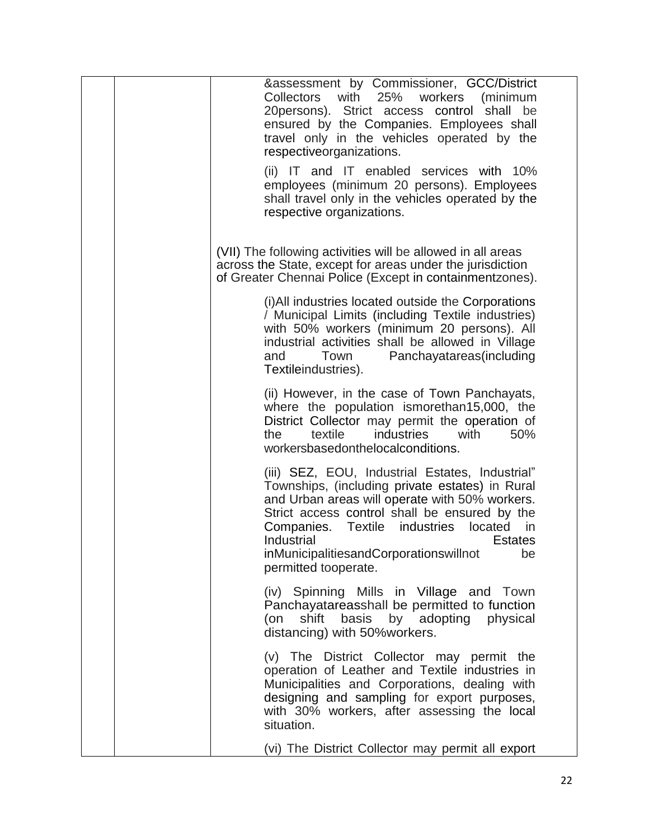| &assessment by Commissioner, GCC/District<br>Collectors with 25% workers<br>(minimum<br>20persons). Strict access control<br>shall<br>be<br>ensured by the Companies. Employees shall<br>travel only in the vehicles operated by the<br>respectiveorganizations.                                                                                                              |
|-------------------------------------------------------------------------------------------------------------------------------------------------------------------------------------------------------------------------------------------------------------------------------------------------------------------------------------------------------------------------------|
| (ii) IT and IT enabled services with 10%<br>employees (minimum 20 persons). Employees<br>shall travel only in the vehicles operated by the<br>respective organizations.                                                                                                                                                                                                       |
| (VII) The following activities will be allowed in all areas<br>across the State, except for areas under the jurisdiction<br>of Greater Chennai Police (Except in containmentzones).                                                                                                                                                                                           |
| (i) All industries located outside the Corporations<br>/ Municipal Limits (including Textile industries)<br>with 50% workers (minimum 20 persons). All<br>industrial activities shall be allowed in Village<br>Panchayatareas(including<br>Town<br>and<br>Textileindustries).                                                                                                 |
| (ii) However, in the case of Town Panchayats,<br>where the population ismorethan15,000, the<br>District Collector may permit the operation of<br>industries<br>50%<br>the<br>textile<br>with<br>workersbasedonthelocalconditions.                                                                                                                                             |
| (iii) SEZ, EOU, Industrial Estates, Industrial"<br>Townships, (including private estates) in Rural<br>and Urban areas will operate with 50% workers.<br>Strict access control shall be ensured by the<br>Companies.<br><b>Textile</b><br>industries<br>located<br>in.<br>Industrial<br><b>Estates</b><br>inMunicipalitiesandCorporationswillnot<br>be<br>permitted tooperate. |
| (iv) Spinning Mills in Village and Town<br>Panchayatareasshall be permitted to function<br>shift basis by adopting physical<br>(on<br>distancing) with 50% workers.                                                                                                                                                                                                           |
| (v) The District Collector may permit the<br>operation of Leather and Textile industries in<br>Municipalities and Corporations, dealing with<br>designing and sampling for export purposes,<br>with 30% workers, after assessing the local<br>situation.                                                                                                                      |
| (vi) The District Collector may permit all export                                                                                                                                                                                                                                                                                                                             |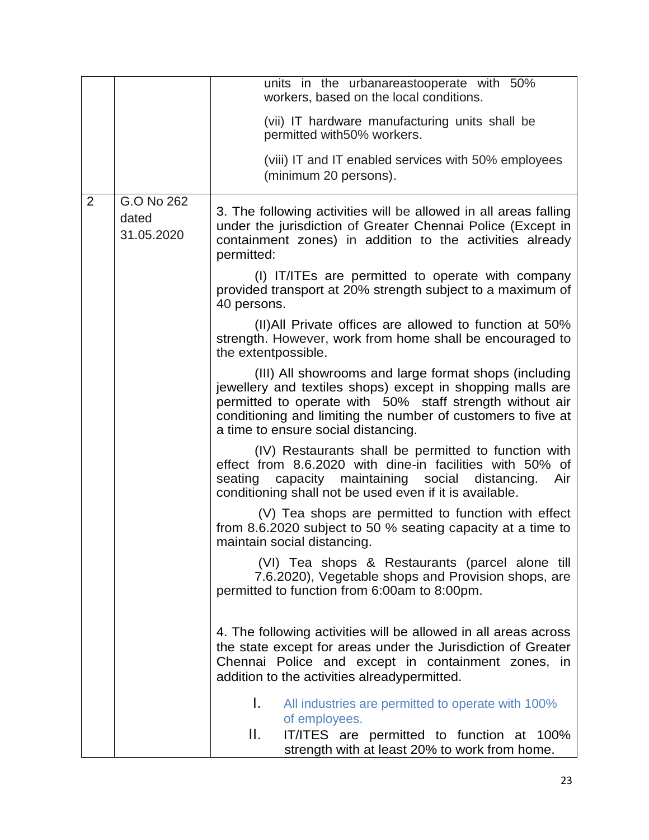|                |                                   | units in the urbanareastooperate with 50%<br>workers, based on the local conditions.                                                                                                                                                                                                   |
|----------------|-----------------------------------|----------------------------------------------------------------------------------------------------------------------------------------------------------------------------------------------------------------------------------------------------------------------------------------|
|                |                                   | (vii) IT hardware manufacturing units shall be<br>permitted with 50% workers.                                                                                                                                                                                                          |
|                |                                   | (viii) IT and IT enabled services with 50% employees<br>(minimum 20 persons).                                                                                                                                                                                                          |
| $\overline{2}$ | G.O No 262<br>dated<br>31.05.2020 | 3. The following activities will be allowed in all areas falling<br>under the jurisdiction of Greater Chennai Police (Except in<br>containment zones) in addition to the activities already<br>permitted:                                                                              |
|                |                                   | (I) IT/ITEs are permitted to operate with company<br>provided transport at 20% strength subject to a maximum of<br>40 persons.                                                                                                                                                         |
|                |                                   | (II) All Private offices are allowed to function at 50%<br>strength. However, work from home shall be encouraged to<br>the extentpossible.                                                                                                                                             |
|                |                                   | (III) All showrooms and large format shops (including<br>jewellery and textiles shops) except in shopping malls are<br>permitted to operate with 50% staff strength without air<br>conditioning and limiting the number of customers to five at<br>a time to ensure social distancing. |
|                |                                   | (IV) Restaurants shall be permitted to function with<br>effect from 8.6.2020 with dine-in facilities with 50% of<br>capacity maintaining social<br>seating<br>distancing.<br>Air<br>conditioning shall not be used even if it is available.                                            |
|                |                                   | (V) Tea shops are permitted to function with effect<br>from 8.6.2020 subject to 50 % seating capacity at a time to<br>maintain social distancing.                                                                                                                                      |
|                |                                   | (VI) Tea shops & Restaurants (parcel alone till<br>7.6.2020), Vegetable shops and Provision shops, are<br>permitted to function from 6:00am to 8:00pm.                                                                                                                                 |
|                |                                   | 4. The following activities will be allowed in all areas across<br>the state except for areas under the Jurisdiction of Greater<br>Chennai Police and except in containment zones, in<br>addition to the activities alreadypermitted.                                                  |
|                |                                   | L.<br>All industries are permitted to operate with 100%<br>of employees.                                                                                                                                                                                                               |
|                |                                   | Ш.<br>IT/ITES are permitted to function at 100%<br>strength with at least 20% to work from home.                                                                                                                                                                                       |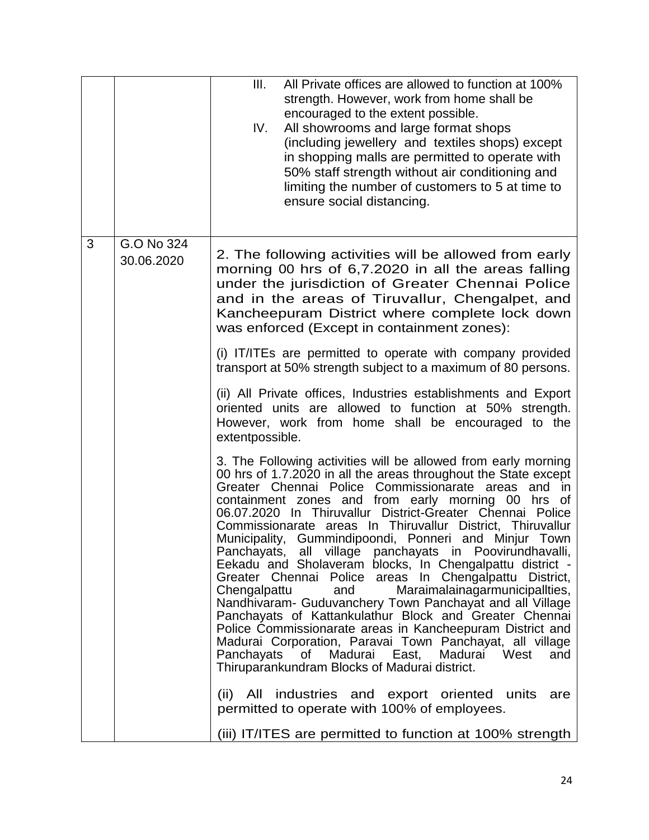|   |                          | All Private offices are allowed to function at 100%<br>III.<br>strength. However, work from home shall be<br>encouraged to the extent possible.<br>All showrooms and large format shops<br>IV.<br>(including jewellery and textiles shops) except<br>in shopping malls are permitted to operate with<br>50% staff strength without air conditioning and<br>limiting the number of customers to 5 at time to<br>ensure social distancing.                                                                                                                                                                                                                                                                                                                                                                                                                                                                                                                                                                                             |
|---|--------------------------|--------------------------------------------------------------------------------------------------------------------------------------------------------------------------------------------------------------------------------------------------------------------------------------------------------------------------------------------------------------------------------------------------------------------------------------------------------------------------------------------------------------------------------------------------------------------------------------------------------------------------------------------------------------------------------------------------------------------------------------------------------------------------------------------------------------------------------------------------------------------------------------------------------------------------------------------------------------------------------------------------------------------------------------|
| 3 | G.O No 324<br>30.06.2020 | 2. The following activities will be allowed from early<br>morning 00 hrs of 6,7.2020 in all the areas falling<br>under the jurisdiction of Greater Chennai Police<br>and in the areas of Tiruvallur, Chengalpet, and<br>Kancheepuram District where complete lock down<br>was enforced (Except in containment zones):<br>(i) IT/ITEs are permitted to operate with company provided                                                                                                                                                                                                                                                                                                                                                                                                                                                                                                                                                                                                                                                  |
|   |                          | transport at 50% strength subject to a maximum of 80 persons.                                                                                                                                                                                                                                                                                                                                                                                                                                                                                                                                                                                                                                                                                                                                                                                                                                                                                                                                                                        |
|   |                          | (ii) All Private offices, Industries establishments and Export<br>oriented units are allowed to function at 50% strength.<br>However, work from home shall be encouraged to the<br>extentpossible.                                                                                                                                                                                                                                                                                                                                                                                                                                                                                                                                                                                                                                                                                                                                                                                                                                   |
|   |                          | 3. The Following activities will be allowed from early morning<br>00 hrs of 1.7.2020 in all the areas throughout the State except<br>Greater Chennai Police Commissionarate areas and<br>- in<br>containment zones and from early morning 00 hrs of<br>06.07.2020 In Thiruvallur District-Greater Chennai Police<br>Commissionarate areas In Thiruvallur District, Thiruvallur<br>Municipality, Gummindipoondi, Ponneri and Minjur Town<br>Panchayats, all village panchayats in Poovirundhavalli,<br>Eekadu and Sholaveram blocks, In Chengalpattu district -<br>Greater Chennai Police areas In Chengalpattu District,<br>Chengalpattu<br>Maraimalainagarmunicipallties,<br>and<br>Nandhivaram- Guduvanchery Town Panchayat and all Village<br>Panchayats of Kattankulathur Block and Greater Chennai<br>Police Commissionarate areas in Kancheepuram District and<br>Madurai Corporation, Paravai Town Panchayat, all village<br>Panchayats of Madurai East, Madurai West<br>and<br>Thiruparankundram Blocks of Madurai district. |
|   |                          | All industries and export oriented units<br>(ii)<br>are<br>permitted to operate with 100% of employees.                                                                                                                                                                                                                                                                                                                                                                                                                                                                                                                                                                                                                                                                                                                                                                                                                                                                                                                              |
|   |                          | (iii) IT/ITES are permitted to function at 100% strength                                                                                                                                                                                                                                                                                                                                                                                                                                                                                                                                                                                                                                                                                                                                                                                                                                                                                                                                                                             |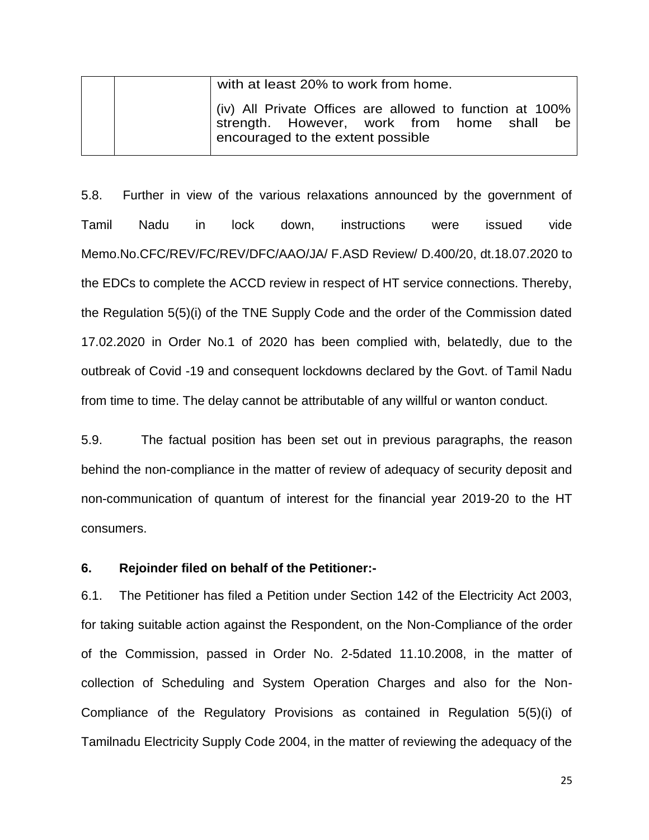|  | with at least 20% to work from home.                                                                                                                   |  |  |  |  |  |
|--|--------------------------------------------------------------------------------------------------------------------------------------------------------|--|--|--|--|--|
|  | $\vert$ (iv) All Private Offices are allowed to function at 100%<br>strength. However, work from home shall<br>be<br>encouraged to the extent possible |  |  |  |  |  |

5.8. Further in view of the various relaxations announced by the government of Tamil Nadu in lock down, instructions were issued vide Memo.No.CFC/REV/FC/REV/DFC/AAO/JA/ F.ASD Review/ D.400/20, dt.18.07.2020 to the EDCs to complete the ACCD review in respect of HT service connections. Thereby, the Regulation 5(5)(i) of the TNE Supply Code and the order of the Commission dated 17.02.2020 in Order No.1 of 2020 has been complied with, belatedly, due to the outbreak of Covid -19 and consequent lockdowns declared by the Govt. of Tamil Nadu from time to time. The delay cannot be attributable of any willful or wanton conduct.

5.9. The factual position has been set out in previous paragraphs, the reason behind the non-compliance in the matter of review of adequacy of security deposit and non-communication of quantum of interest for the financial year 2019-20 to the HT consumers.

## **6. Rejoinder filed on behalf of the Petitioner:-**

6.1. The Petitioner has filed a Petition under Section 142 of the Electricity Act 2003, for taking suitable action against the Respondent, on the Non-Compliance of the order of the Commission, passed in Order No. 2-5dated 11.10.2008, in the matter of collection of Scheduling and System Operation Charges and also for the Non-Compliance of the Regulatory Provisions as contained in Regulation 5(5)(i) of Tamilnadu Electricity Supply Code 2004, in the matter of reviewing the adequacy of the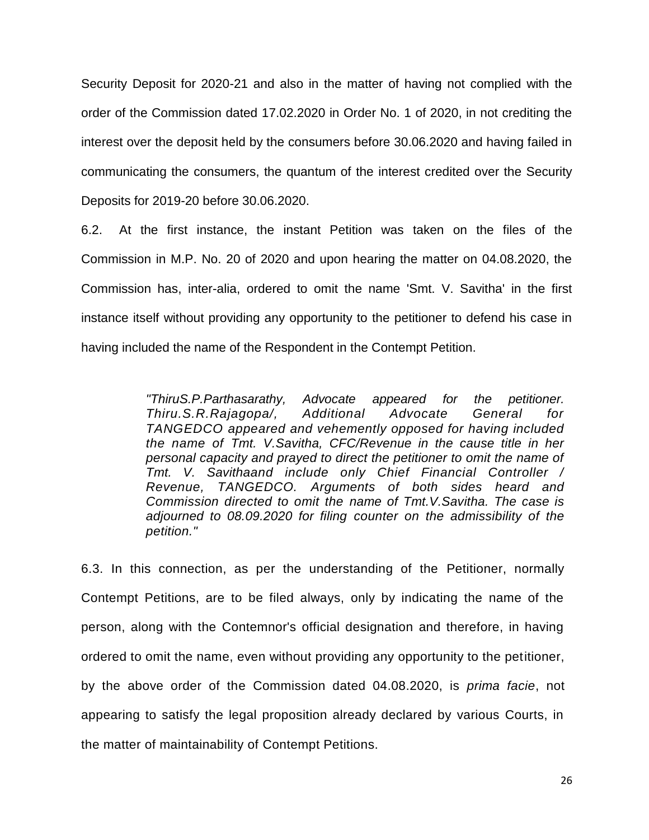Security Deposit for 2020-21 and also in the matter of having not complied with the order of the Commission dated 17.02.2020 in Order No. 1 of 2020, in not crediting the interest over the deposit held by the consumers before 30.06.2020 and having failed in communicating the consumers, the quantum of the interest credited over the Security Deposits for 2019-20 before 30.06.2020.

6.2. At the first instance, the instant Petition was taken on the files of the Commission in M.P. No. 20 of 2020 and upon hearing the matter on 04.08.2020, the Commission has, inter-alia, ordered to omit the name 'Smt. V. Savitha' in the first instance itself without providing any opportunity to the petitioner to defend his case in having included the name of the Respondent in the Contempt Petition.

> *"ThiruS.P.Parthasarathy, Advocate appeared for the petitioner. Thiru.S.R.Rajagopa/, Additional Advocate General for TANGEDCO appeared and vehemently opposed for having included the name of Tmt. V.Savitha, CFC/Revenue in the cause title in her personal capacity and prayed to direct the petitioner to omit the name of Tmt. V. Savithaand include only Chief Financial Controller / Revenue, TANGEDCO. Arguments of both sides heard and Commission directed to omit the name of Tmt.V.Savitha. The case is adjourned to 08.09.2020 for filing counter on the admissibility of the petition."*

6.3. In this connection, as per the understanding of the Petitioner, normally Contempt Petitions, are to be filed always, only by indicating the name of the person, along with the Contemnor's official designation and therefore, in having ordered to omit the name, even without providing any opportunity to the petitioner, by the above order of the Commission dated 04.08.2020, is *prima facie*, not appearing to satisfy the legal proposition already declared by various Courts, in the matter of maintainability of Contempt Petitions.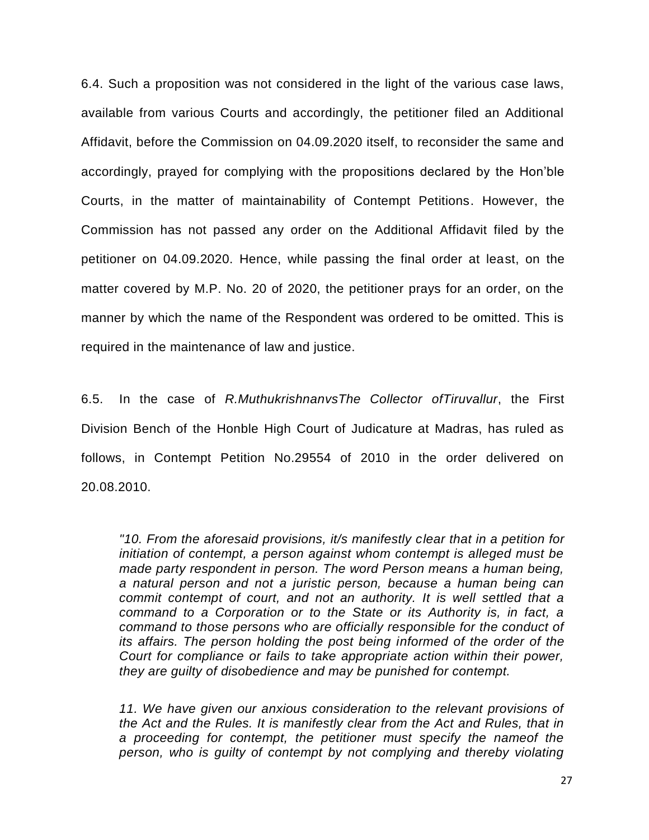6.4. Such a proposition was not considered in the light of the various case laws, available from various Courts and accordingly, the petitioner filed an Additional Affidavit, before the Commission on 04.09.2020 itself, to reconsider the same and accordingly, prayed for complying with the propositions declared by the Hon'ble Courts, in the matter of maintainability of Contempt Petitions. However, the Commission has not passed any order on the Additional Affidavit filed by the petitioner on 04.09.2020. Hence, while passing the final order at least, on the matter covered by M.P. No. 20 of 2020, the petitioner prays for an order, on the manner by which the name of the Respondent was ordered to be omitted. This is required in the maintenance of law and justice.

6.5. In the case of *R.MuthukrishnanvsThe Collector ofTiruvallur*, the First Division Bench of the Honble High Court of Judicature at Madras, has ruled as follows, in Contempt Petition No.29554 of 2010 in the order delivered on 20.08.2010.

*"10. From the aforesaid provisions, it/s manifestly clear that in a petition for initiation of contempt, a person against whom contempt is alleged must be made party respondent in person. The word Person means a human being, a natural person and not a juristic person, because a human being can commit contempt of court, and not an authority. It is well settled that a command to a Corporation or to the State or its Authority is, in fact, a command to those persons who are officially responsible for the conduct of its affairs. The person holding the post being informed of the order of the Court for compliance or fails to take appropriate action within their power, they are guilty of disobedience and may be punished for contempt.*

*11. We have given our anxious consideration to the relevant provisions of the Act and the Rules. It is manifestly clear from the Act and Rules, that in a proceeding for contempt, the petitioner must specify the nameof the person, who is guilty of contempt by not complying and thereby violating*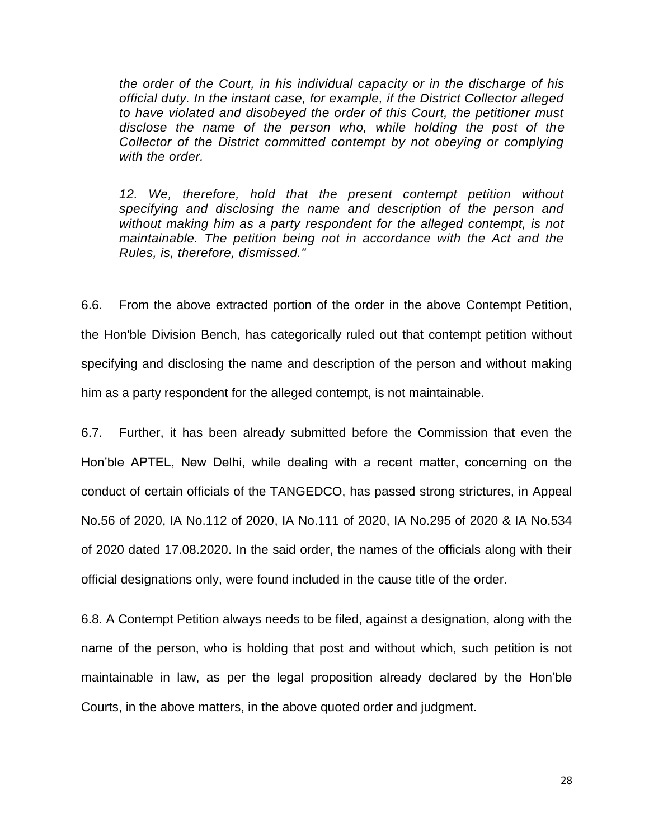*the order of the Court, in his individual capacity or in the discharge of his official duty. In the instant case, for example, if the District Collector alleged to have violated and disobeyed the order of this Court, the petitioner must disclose the name of the person who, while holding the post of the Collector of the District committed contempt by not obeying or complying with the order.*

*12. We, therefore, hold that the present contempt petition without specifying and disclosing the name and description of the person and without making him as a party respondent for the alleged contempt, is not maintainable. The petition being not in accordance with the Act and the Rules, is, therefore, dismissed."*

6.6. From the above extracted portion of the order in the above Contempt Petition, the Hon'ble Division Bench, has categorically ruled out that contempt petition without specifying and disclosing the name and description of the person and without making him as a party respondent for the alleged contempt, is not maintainable.

6.7. Further, it has been already submitted before the Commission that even the Hon'ble APTEL, New Delhi, while dealing with a recent matter, concerning on the conduct of certain officials of the TANGEDCO, has passed strong strictures, in Appeal No.56 of 2020, IA No.112 of 2020, IA No.111 of 2020, IA No.295 of 2020 & IA No.534 of 2020 dated 17.08.2020. In the said order, the names of the officials along with their official designations only, were found included in the cause title of the order.

6.8. A Contempt Petition always needs to be filed, against a designation, along with the name of the person, who is holding that post and without which, such petition is not maintainable in law, as per the legal proposition already declared by the Hon'ble Courts, in the above matters, in the above quoted order and judgment.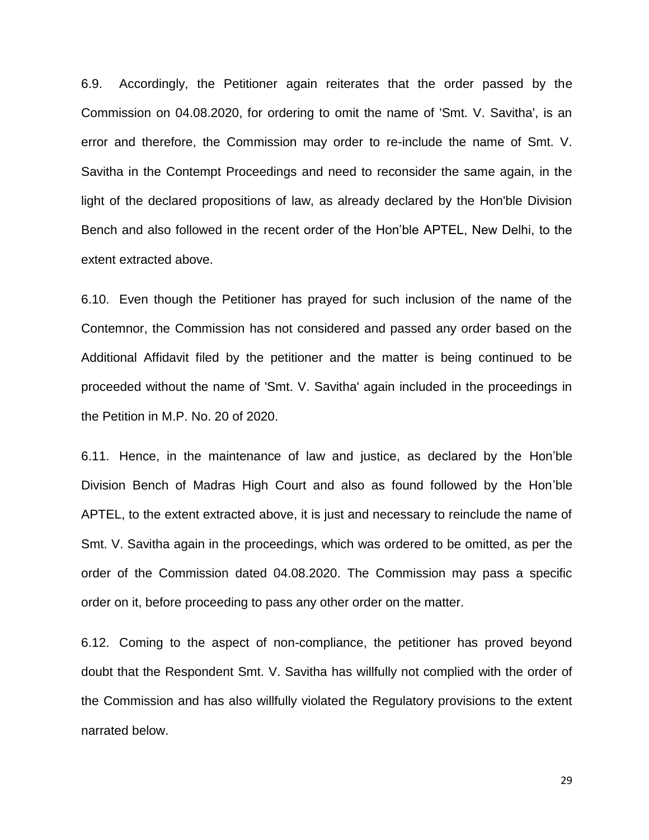6.9. Accordingly, the Petitioner again reiterates that the order passed by the Commission on 04.08.2020, for ordering to omit the name of 'Smt. V. Savitha', is an error and therefore, the Commission may order to re-include the name of Smt. V. Savitha in the Contempt Proceedings and need to reconsider the same again, in the light of the declared propositions of law, as already declared by the Hon'ble Division Bench and also followed in the recent order of the Hon'ble APTEL, New Delhi, to the extent extracted above.

6.10. Even though the Petitioner has prayed for such inclusion of the name of the Contemnor, the Commission has not considered and passed any order based on the Additional Affidavit filed by the petitioner and the matter is being continued to be proceeded without the name of 'Smt. V. Savitha' again included in the proceedings in the Petition in M.P. No. 20 of 2020.

6.11. Hence, in the maintenance of law and justice, as declared by the Hon'ble Division Bench of Madras High Court and also as found followed by the Hon'ble APTEL, to the extent extracted above, it is just and necessary to reinclude the name of Smt. V. Savitha again in the proceedings, which was ordered to be omitted, as per the order of the Commission dated 04.08.2020. The Commission may pass a specific order on it, before proceeding to pass any other order on the matter.

6.12. Coming to the aspect of non-compliance, the petitioner has proved beyond doubt that the Respondent Smt. V. Savitha has willfully not complied with the order of the Commission and has also willfully violated the Regulatory provisions to the extent narrated below.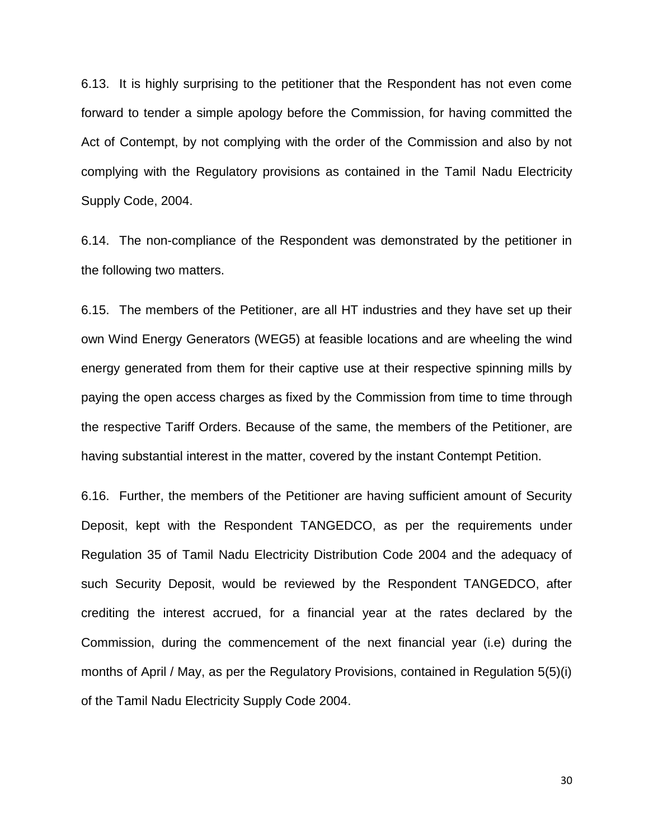6.13. It is highly surprising to the petitioner that the Respondent has not even come forward to tender a simple apology before the Commission, for having committed the Act of Contempt, by not complying with the order of the Commission and also by not complying with the Regulatory provisions as contained in the Tamil Nadu Electricity Supply Code, 2004.

6.14. The non-compliance of the Respondent was demonstrated by the petitioner in the following two matters.

6.15. The members of the Petitioner, are all HT industries and they have set up their own Wind Energy Generators (WEG5) at feasible locations and are wheeling the wind energy generated from them for their captive use at their respective spinning mills by paying the open access charges as fixed by the Commission from time to time through the respective Tariff Orders. Because of the same, the members of the Petitioner, are having substantial interest in the matter, covered by the instant Contempt Petition.

6.16. Further, the members of the Petitioner are having sufficient amount of Security Deposit, kept with the Respondent TANGEDCO, as per the requirements under Regulation 35 of Tamil Nadu Electricity Distribution Code 2004 and the adequacy of such Security Deposit, would be reviewed by the Respondent TANGEDCO, after crediting the interest accrued, for a financial year at the rates declared by the Commission, during the commencement of the next financial year (i.e) during the months of April / May, as per the Regulatory Provisions, contained in Regulation 5(5)(i) of the Tamil Nadu Electricity Supply Code 2004.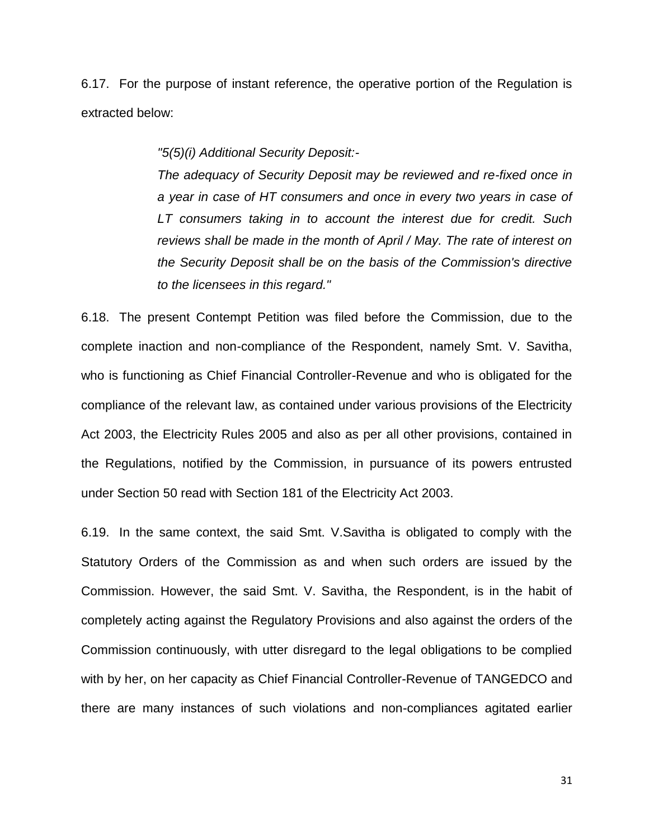6.17. For the purpose of instant reference, the operative portion of the Regulation is extracted below:

*"5(5)(i) Additional Security Deposit:-*

*The adequacy of Security Deposit may be reviewed and re-fixed once in a year in case of HT consumers and once in every two years in case of LT consumers taking in to account the interest due for credit. Such reviews shall be made in the month of April / May. The rate of interest on the Security Deposit shall be on the basis of the Commission's directive to the licensees in this regard."*

6.18. The present Contempt Petition was filed before the Commission, due to the complete inaction and non-compliance of the Respondent, namely Smt. V. Savitha, who is functioning as Chief Financial Controller-Revenue and who is obligated for the compliance of the relevant law, as contained under various provisions of the Electricity Act 2003, the Electricity Rules 2005 and also as per all other provisions, contained in the Regulations, notified by the Commission, in pursuance of its powers entrusted under Section 50 read with Section 181 of the Electricity Act 2003.

6.19. In the same context, the said Smt. V.Savitha is obligated to comply with the Statutory Orders of the Commission as and when such orders are issued by the Commission. However, the said Smt. V. Savitha, the Respondent, is in the habit of completely acting against the Regulatory Provisions and also against the orders of the Commission continuously, with utter disregard to the legal obligations to be complied with by her, on her capacity as Chief Financial Controller-Revenue of TANGEDCO and there are many instances of such violations and non-compliances agitated earlier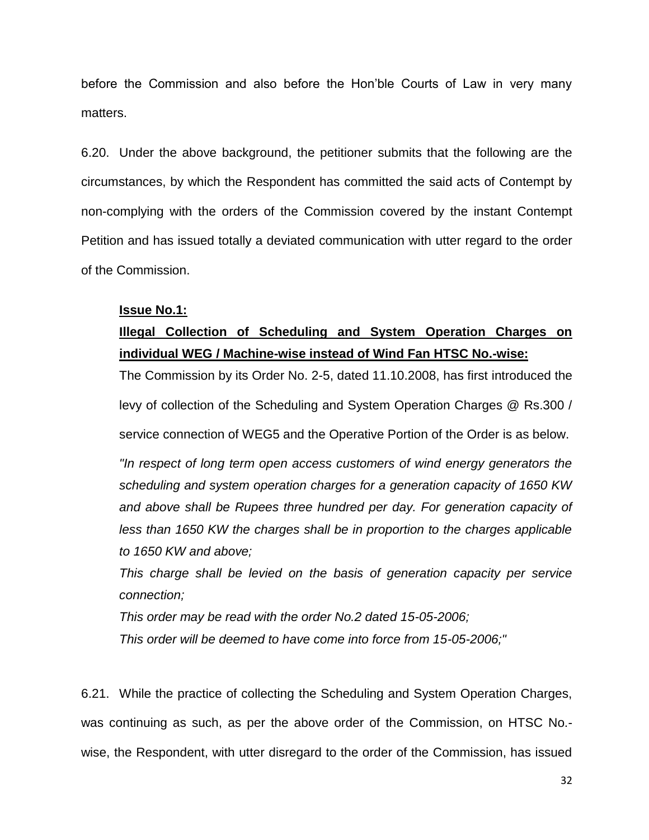before the Commission and also before the Hon'ble Courts of Law in very many matters.

6.20. Under the above background, the petitioner submits that the following are the circumstances, by which the Respondent has committed the said acts of Contempt by non-complying with the orders of the Commission covered by the instant Contempt Petition and has issued totally a deviated communication with utter regard to the order of the Commission.

## **Issue No.1:**

# **Illegal Collection of Scheduling and System Operation Charges on individual WEG / Machine-wise instead of Wind Fan HTSC No.-wise:**

The Commission by its Order No. 2-5, dated 11.10.2008, has first introduced the levy of collection of the Scheduling and System Operation Charges @ Rs.300 / service connection of WEG5 and the Operative Portion of the Order is as below.

*"In respect of long term open access customers of wind energy generators the scheduling and system operation charges for a generation capacity of 1650 KW and above shall be Rupees three hundred per day. For generation capacity of less than 1650 KW the charges shall be in proportion to the charges applicable to 1650 KW and above;*

*This charge shall be levied on the basis of generation capacity per service connection;*

*This order may be read with the order No.2 dated 15-05-2006;*

*This order will be deemed to have come into force from 15-05-2006;"*

6.21. While the practice of collecting the Scheduling and System Operation Charges, was continuing as such, as per the above order of the Commission, on HTSC No. wise, the Respondent, with utter disregard to the order of the Commission, has issued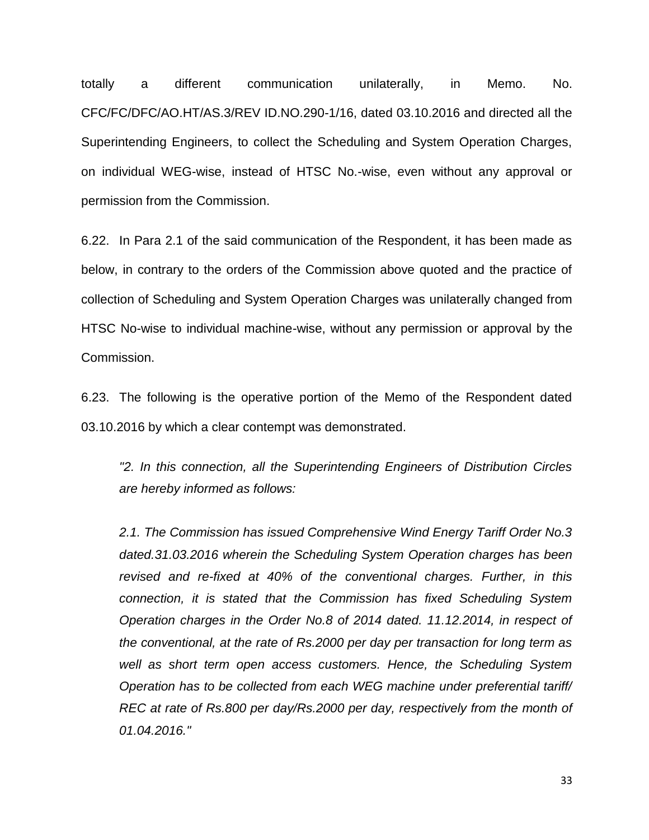totally a different communication unilaterally, in Memo. No. CFC/FC/DFC/AO.HT/AS.3/REV ID.NO.290-1/16, dated 03.10.2016 and directed all the Superintending Engineers, to collect the Scheduling and System Operation Charges, on individual WEG-wise, instead of HTSC No.-wise, even without any approval or permission from the Commission.

6.22. In Para 2.1 of the said communication of the Respondent, it has been made as below, in contrary to the orders of the Commission above quoted and the practice of collection of Scheduling and System Operation Charges was unilaterally changed from HTSC No-wise to individual machine-wise, without any permission or approval by the Commission.

6.23. The following is the operative portion of the Memo of the Respondent dated 03.10.2016 by which a clear contempt was demonstrated.

*"2. In this connection, all the Superintending Engineers of Distribution Circles are hereby informed as follows:*

*2.1. The Commission has issued Comprehensive Wind Energy Tariff Order No.3 dated.31.03.2016 wherein the Scheduling System Operation charges has been revised and re-fixed at 40% of the conventional charges. Further, in this connection, it is stated that the Commission has fixed Scheduling System Operation charges in the Order No.8 of 2014 dated. 11.12.2014, in respect of the conventional, at the rate of Rs.2000 per day per transaction for long term as well as short term open access customers. Hence, the Scheduling System Operation has to be collected from each WEG machine under preferential tariff/ REC at rate of Rs.800 per day/Rs.2000 per day, respectively from the month of 01.04.2016."*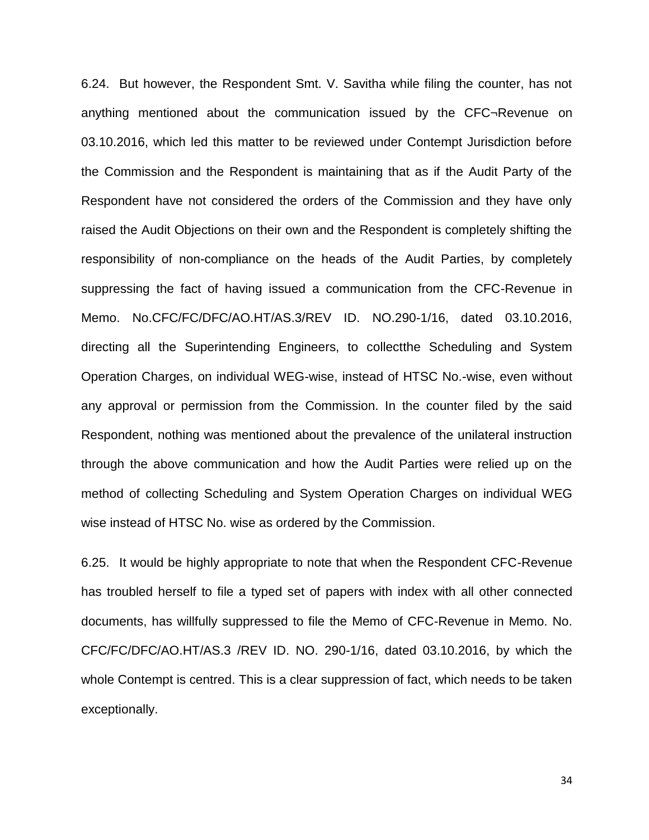6.24. But however, the Respondent Smt. V. Savitha while filing the counter, has not anything mentioned about the communication issued by the CFC¬Revenue on 03.10.2016, which led this matter to be reviewed under Contempt Jurisdiction before the Commission and the Respondent is maintaining that as if the Audit Party of the Respondent have not considered the orders of the Commission and they have only raised the Audit Objections on their own and the Respondent is completely shifting the responsibility of non-compliance on the heads of the Audit Parties, by completely suppressing the fact of having issued a communication from the CFC-Revenue in Memo. No.CFC/FC/DFC/AO.HT/AS.3/REV ID. NO.290-1/16, dated 03.10.2016, directing all the Superintending Engineers, to collectthe Scheduling and System Operation Charges, on individual WEG-wise, instead of HTSC No.-wise, even without any approval or permission from the Commission. In the counter filed by the said Respondent, nothing was mentioned about the prevalence of the unilateral instruction through the above communication and how the Audit Parties were relied up on the method of collecting Scheduling and System Operation Charges on individual WEG wise instead of HTSC No. wise as ordered by the Commission.

6.25. It would be highly appropriate to note that when the Respondent CFC-Revenue has troubled herself to file a typed set of papers with index with all other connected documents, has willfully suppressed to file the Memo of CFC-Revenue in Memo. No. CFC/FC/DFC/AO.HT/AS.3 /REV ID. NO. 290-1/16, dated 03.10.2016, by which the whole Contempt is centred. This is a clear suppression of fact, which needs to be taken exceptionally.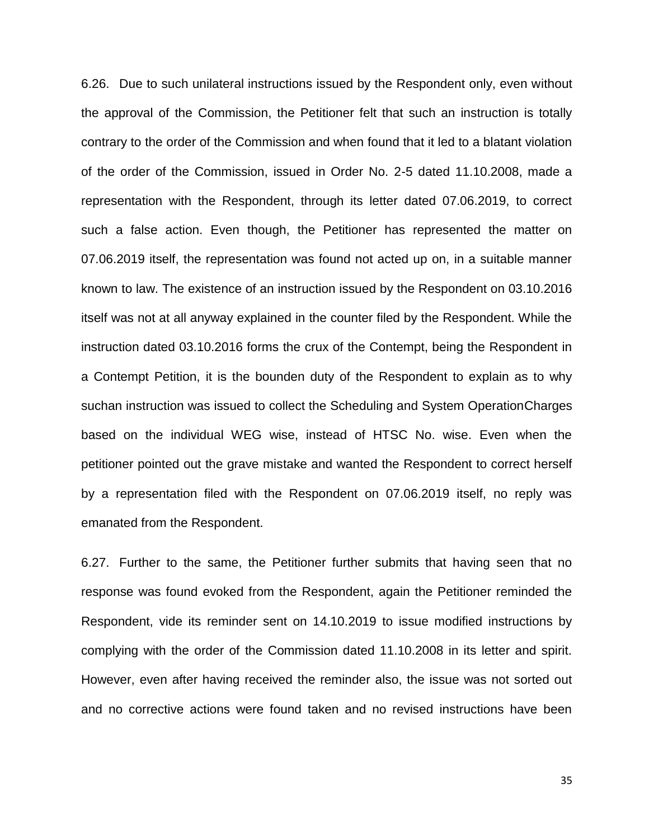6.26. Due to such unilateral instructions issued by the Respondent only, even without the approval of the Commission, the Petitioner felt that such an instruction is totally contrary to the order of the Commission and when found that it led to a blatant violation of the order of the Commission, issued in Order No. 2-5 dated 11.10.2008, made a representation with the Respondent, through its letter dated 07.06.2019, to correct such a false action. Even though, the Petitioner has represented the matter on 07.06.2019 itself, the representation was found not acted up on, in a suitable manner known to law. The existence of an instruction issued by the Respondent on 03.10.2016 itself was not at all anyway explained in the counter filed by the Respondent. While the instruction dated 03.10.2016 forms the crux of the Contempt, being the Respondent in a Contempt Petition, it is the bounden duty of the Respondent to explain as to why suchan instruction was issued to collect the Scheduling and System OperationCharges based on the individual WEG wise, instead of HTSC No. wise. Even when the petitioner pointed out the grave mistake and wanted the Respondent to correct herself by a representation filed with the Respondent on 07.06.2019 itself, no reply was emanated from the Respondent.

6.27. Further to the same, the Petitioner further submits that having seen that no response was found evoked from the Respondent, again the Petitioner reminded the Respondent, vide its reminder sent on 14.10.2019 to issue modified instructions by complying with the order of the Commission dated 11.10.2008 in its letter and spirit. However, even after having received the reminder also, the issue was not sorted out and no corrective actions were found taken and no revised instructions have been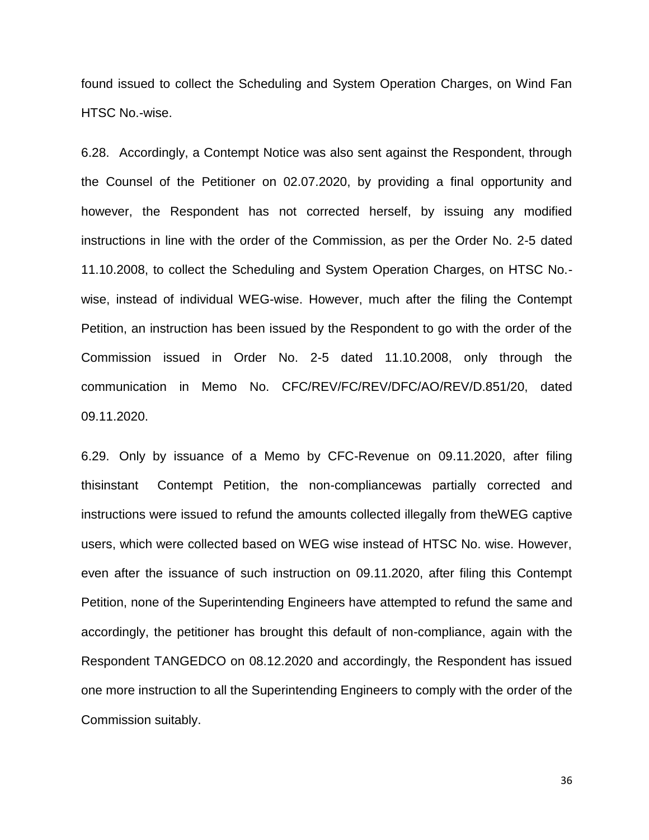found issued to collect the Scheduling and System Operation Charges, on Wind Fan HTSC No.-wise.

6.28. Accordingly, a Contempt Notice was also sent against the Respondent, through the Counsel of the Petitioner on 02.07.2020, by providing a final opportunity and however, the Respondent has not corrected herself, by issuing any modified instructions in line with the order of the Commission, as per the Order No. 2-5 dated 11.10.2008, to collect the Scheduling and System Operation Charges, on HTSC No. wise, instead of individual WEG-wise. However, much after the filing the Contempt Petition, an instruction has been issued by the Respondent to go with the order of the Commission issued in Order No. 2-5 dated 11.10.2008, only through the communication in Memo No. CFC/REV/FC/REV/DFC/AO/REV/D.851/20, dated 09.11.2020.

6.29. Only by issuance of a Memo by CFC-Revenue on 09.11.2020, after filing thisinstant Contempt Petition, the non-compliancewas partially corrected and instructions were issued to refund the amounts collected illegally from theWEG captive users, which were collected based on WEG wise instead of HTSC No. wise. However, even after the issuance of such instruction on 09.11.2020, after filing this Contempt Petition, none of the Superintending Engineers have attempted to refund the same and accordingly, the petitioner has brought this default of non-compliance, again with the Respondent TANGEDCO on 08.12.2020 and accordingly, the Respondent has issued one more instruction to all the Superintending Engineers to comply with the order of the Commission suitably.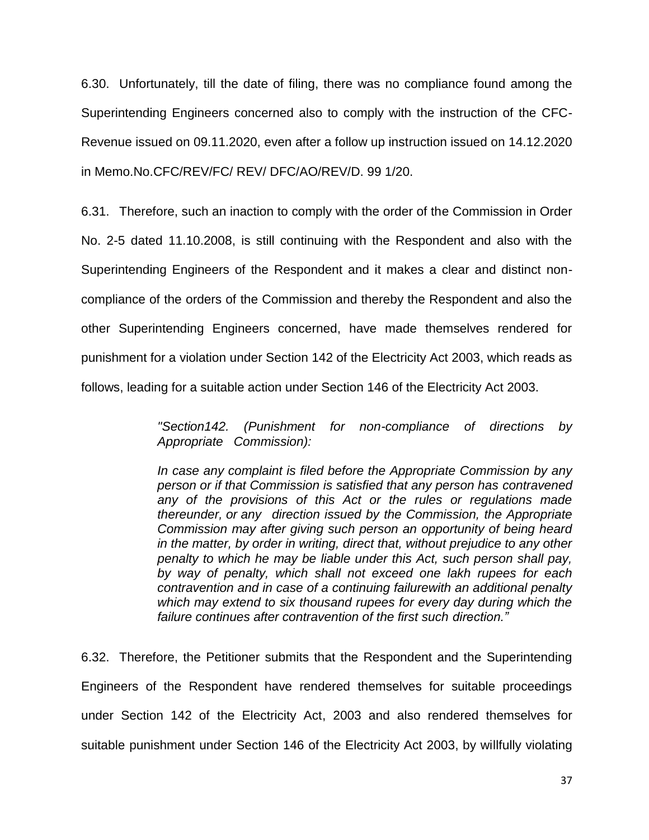6.30. Unfortunately, till the date of filing, there was no compliance found among the Superintending Engineers concerned also to comply with the instruction of the CFC-Revenue issued on 09.11.2020, even after a follow up instruction issued on 14.12.2020 in Memo.No.CFC/REV/FC/ REV/ DFC/AO/REV/D. 99 1/20.

6.31. Therefore, such an inaction to comply with the order of the Commission in Order No. 2-5 dated 11.10.2008, is still continuing with the Respondent and also with the Superintending Engineers of the Respondent and it makes a clear and distinct noncompliance of the orders of the Commission and thereby the Respondent and also the other Superintending Engineers concerned, have made themselves rendered for punishment for a violation under Section 142 of the Electricity Act 2003, which reads as follows, leading for a suitable action under Section 146 of the Electricity Act 2003.

> *"Section142. (Punishment for non-compliance of directions by Appropriate Commission):*

> *In case any complaint is filed before the Appropriate Commission by any person or if that Commission is satisfied that any person has contravened any of the provisions of this Act or the rules or regulations made thereunder, or any direction issued by the Commission, the Appropriate Commission may after giving such person an opportunity of being heard in the matter, by order in writing, direct that, without prejudice to any other penalty to which he may be liable under this Act, such person shall pay, by way of penalty, which shall not exceed one lakh rupees for each contravention and in case of a continuing failurewith an additional penalty which may extend to six thousand rupees for every day during which the failure continues after contravention of the first such direction."*

6.32. Therefore, the Petitioner submits that the Respondent and the Superintending Engineers of the Respondent have rendered themselves for suitable proceedings under Section 142 of the Electricity Act, 2003 and also rendered themselves for suitable punishment under Section 146 of the Electricity Act 2003, by willfully violating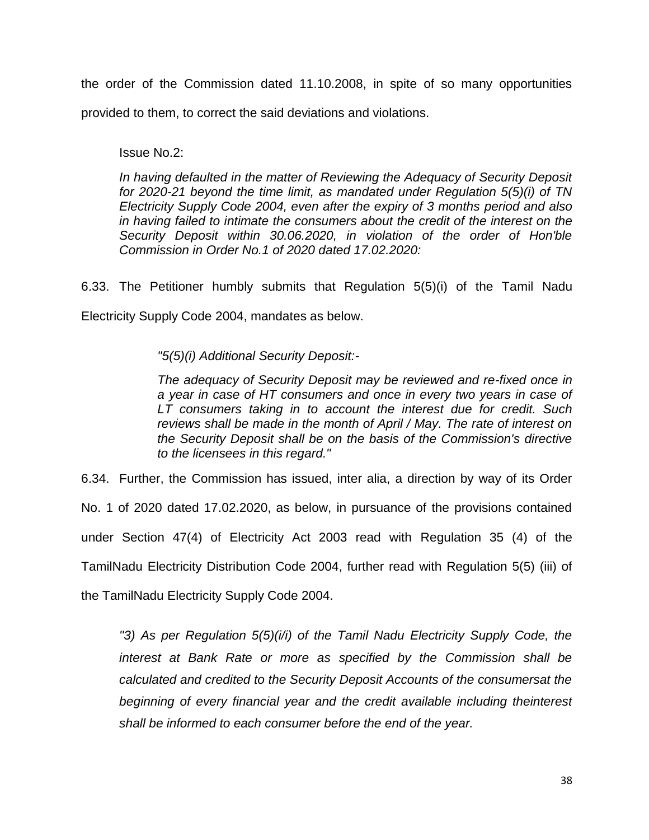the order of the Commission dated 11.10.2008, in spite of so many opportunities provided to them, to correct the said deviations and violations.

Issue No.2:

*In having defaulted in the matter of Reviewing the Adequacy of Security Deposit for 2020-21 beyond the time limit, as mandated under Regulation 5(5)(i) of TN Electricity Supply Code 2004, even after the expiry of 3 months period and also*  in having failed to intimate the consumers about the credit of the interest on the *Security Deposit within 30.06.2020, in violation of the order of Hon'ble Commission in Order No.1 of 2020 dated 17.02.2020:*

6.33. The Petitioner humbly submits that Regulation 5(5)(i) of the Tamil Nadu Electricity Supply Code 2004, mandates as below.

*"5(5)(i) Additional Security Deposit:-*

*The adequacy of Security Deposit may be reviewed and re-fixed once in a year in case of HT consumers and once in every two years in case of LT consumers taking in to account the interest due for credit. Such reviews shall be made in the month of April / May. The rate of interest on the Security Deposit shall be on the basis of the Commission's directive to the licensees in this regard."*

6.34. Further, the Commission has issued, inter alia, a direction by way of its Order No. 1 of 2020 dated 17.02.2020, as below, in pursuance of the provisions contained under Section 47(4) of Electricity Act 2003 read with Regulation 35 (4) of the TamilNadu Electricity Distribution Code 2004, further read with Regulation 5(5) (iii) of the TamilNadu Electricity Supply Code 2004.

*"3) As per Regulation 5(5)(i/i) of the Tamil Nadu Electricity Supply Code, the interest at Bank Rate or more as specified by the Commission shall be calculated and credited to the Security Deposit Accounts of the consumersat the beginning of every financial year and the credit available including theinterest shall be informed to each consumer before the end of the year.*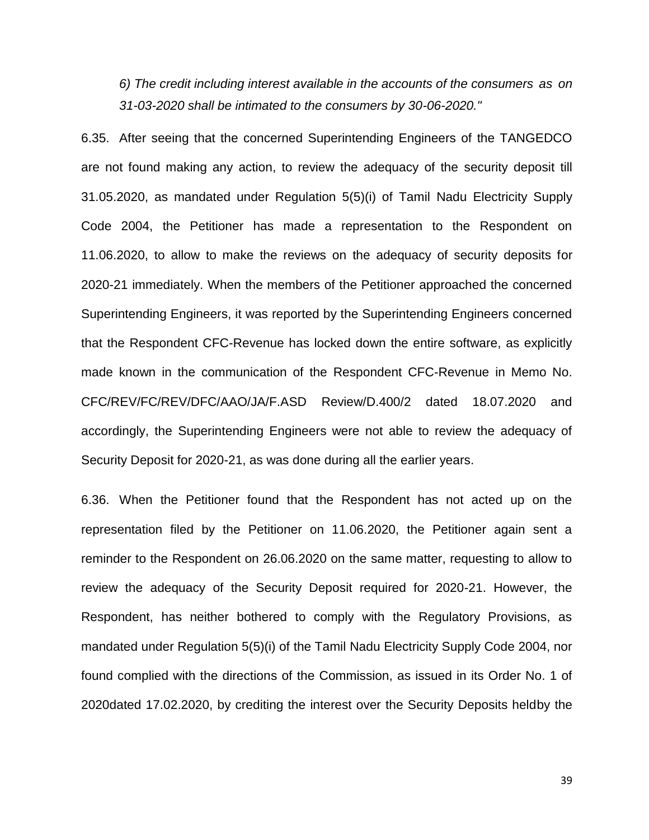*6) The credit including interest available in the accounts of the consumers as on 31-03-2020 shall be intimated to the consumers by 30-06-2020."*

6.35. After seeing that the concerned Superintending Engineers of the TANGEDCO are not found making any action, to review the adequacy of the security deposit till 31.05.2020, as mandated under Regulation 5(5)(i) of Tamil Nadu Electricity Supply Code 2004, the Petitioner has made a representation to the Respondent on 11.06.2020, to allow to make the reviews on the adequacy of security deposits for 2020-21 immediately. When the members of the Petitioner approached the concerned Superintending Engineers, it was reported by the Superintending Engineers concerned that the Respondent CFC-Revenue has locked down the entire software, as explicitly made known in the communication of the Respondent CFC-Revenue in Memo No. CFC/REV/FC/REV/DFC/AAO/JA/F.ASD Review/D.400/2 dated 18.07.2020 and accordingly, the Superintending Engineers were not able to review the adequacy of Security Deposit for 2020-21, as was done during all the earlier years.

6.36. When the Petitioner found that the Respondent has not acted up on the representation filed by the Petitioner on 11.06.2020, the Petitioner again sent a reminder to the Respondent on 26.06.2020 on the same matter, requesting to allow to review the adequacy of the Security Deposit required for 2020-21. However, the Respondent, has neither bothered to comply with the Regulatory Provisions, as mandated under Regulation 5(5)(i) of the Tamil Nadu Electricity Supply Code 2004, nor found complied with the directions of the Commission, as issued in its Order No. 1 of 2020dated 17.02.2020, by crediting the interest over the Security Deposits heldby the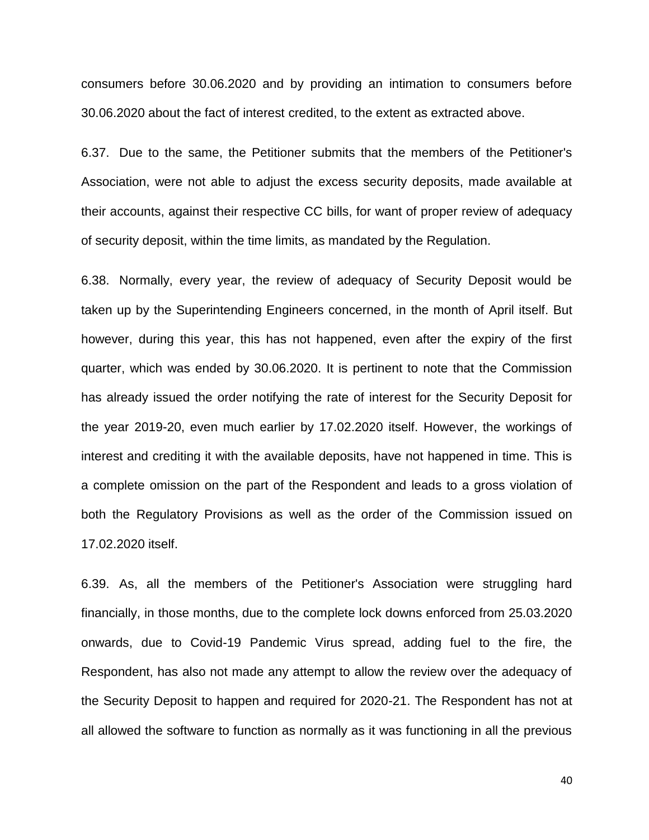consumers before 30.06.2020 and by providing an intimation to consumers before 30.06.2020 about the fact of interest credited, to the extent as extracted above.

6.37. Due to the same, the Petitioner submits that the members of the Petitioner's Association, were not able to adjust the excess security deposits, made available at their accounts, against their respective CC bills, for want of proper review of adequacy of security deposit, within the time limits, as mandated by the Regulation.

6.38. Normally, every year, the review of adequacy of Security Deposit would be taken up by the Superintending Engineers concerned, in the month of April itself. But however, during this year, this has not happened, even after the expiry of the first quarter, which was ended by 30.06.2020. It is pertinent to note that the Commission has already issued the order notifying the rate of interest for the Security Deposit for the year 2019-20, even much earlier by 17.02.2020 itself. However, the workings of interest and crediting it with the available deposits, have not happened in time. This is a complete omission on the part of the Respondent and leads to a gross violation of both the Regulatory Provisions as well as the order of the Commission issued on 17.02.2020 itself.

6.39. As, all the members of the Petitioner's Association were struggling hard financially, in those months, due to the complete lock downs enforced from 25.03.2020 onwards, due to Covid-19 Pandemic Virus spread, adding fuel to the fire, the Respondent, has also not made any attempt to allow the review over the adequacy of the Security Deposit to happen and required for 2020-21. The Respondent has not at all allowed the software to function as normally as it was functioning in all the previous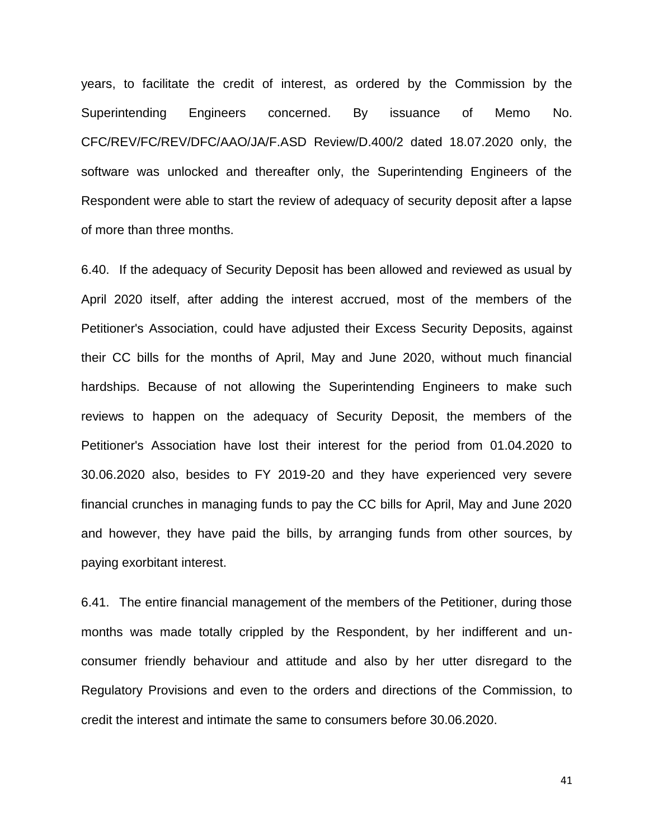years, to facilitate the credit of interest, as ordered by the Commission by the Superintending Engineers concerned. By issuance of Memo No. CFC/REV/FC/REV/DFC/AAO/JA/F.ASD Review/D.400/2 dated 18.07.2020 only, the software was unlocked and thereafter only, the Superintending Engineers of the Respondent were able to start the review of adequacy of security deposit after a lapse of more than three months.

6.40. If the adequacy of Security Deposit has been allowed and reviewed as usual by April 2020 itself, after adding the interest accrued, most of the members of the Petitioner's Association, could have adjusted their Excess Security Deposits, against their CC bills for the months of April, May and June 2020, without much financial hardships. Because of not allowing the Superintending Engineers to make such reviews to happen on the adequacy of Security Deposit, the members of the Petitioner's Association have lost their interest for the period from 01.04.2020 to 30.06.2020 also, besides to FY 2019-20 and they have experienced very severe financial crunches in managing funds to pay the CC bills for April, May and June 2020 and however, they have paid the bills, by arranging funds from other sources, by paying exorbitant interest.

6.41. The entire financial management of the members of the Petitioner, during those months was made totally crippled by the Respondent, by her indifferent and unconsumer friendly behaviour and attitude and also by her utter disregard to the Regulatory Provisions and even to the orders and directions of the Commission, to credit the interest and intimate the same to consumers before 30.06.2020.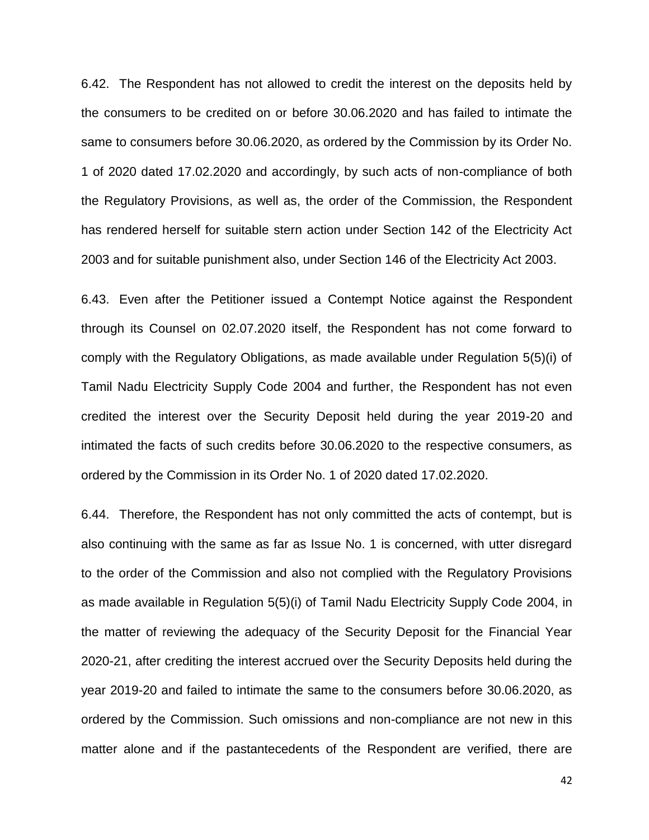6.42. The Respondent has not allowed to credit the interest on the deposits held by the consumers to be credited on or before 30.06.2020 and has failed to intimate the same to consumers before 30.06.2020, as ordered by the Commission by its Order No. 1 of 2020 dated 17.02.2020 and accordingly, by such acts of non-compliance of both the Regulatory Provisions, as well as, the order of the Commission, the Respondent has rendered herself for suitable stern action under Section 142 of the Electricity Act 2003 and for suitable punishment also, under Section 146 of the Electricity Act 2003.

6.43. Even after the Petitioner issued a Contempt Notice against the Respondent through its Counsel on 02.07.2020 itself, the Respondent has not come forward to comply with the Regulatory Obligations, as made available under Regulation 5(5)(i) of Tamil Nadu Electricity Supply Code 2004 and further, the Respondent has not even credited the interest over the Security Deposit held during the year 2019-20 and intimated the facts of such credits before 30.06.2020 to the respective consumers, as ordered by the Commission in its Order No. 1 of 2020 dated 17.02.2020.

6.44. Therefore, the Respondent has not only committed the acts of contempt, but is also continuing with the same as far as Issue No. 1 is concerned, with utter disregard to the order of the Commission and also not complied with the Regulatory Provisions as made available in Regulation 5(5)(i) of Tamil Nadu Electricity Supply Code 2004, in the matter of reviewing the adequacy of the Security Deposit for the Financial Year 2020-21, after crediting the interest accrued over the Security Deposits held during the year 2019-20 and failed to intimate the same to the consumers before 30.06.2020, as ordered by the Commission. Such omissions and non-compliance are not new in this matter alone and if the pastantecedents of the Respondent are verified, there are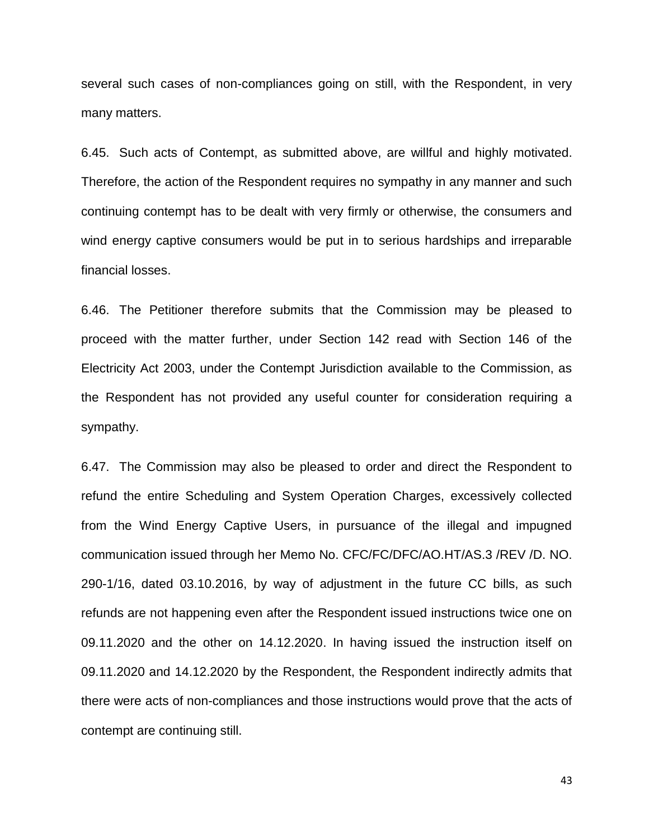several such cases of non-compliances going on still, with the Respondent, in very many matters.

6.45. Such acts of Contempt, as submitted above, are willful and highly motivated. Therefore, the action of the Respondent requires no sympathy in any manner and such continuing contempt has to be dealt with very firmly or otherwise, the consumers and wind energy captive consumers would be put in to serious hardships and irreparable financial losses.

6.46. The Petitioner therefore submits that the Commission may be pleased to proceed with the matter further, under Section 142 read with Section 146 of the Electricity Act 2003, under the Contempt Jurisdiction available to the Commission, as the Respondent has not provided any useful counter for consideration requiring a sympathy.

6.47. The Commission may also be pleased to order and direct the Respondent to refund the entire Scheduling and System Operation Charges, excessively collected from the Wind Energy Captive Users, in pursuance of the illegal and impugned communication issued through her Memo No. CFC/FC/DFC/AO.HT/AS.3 /REV /D. NO. 290-1/16, dated 03.10.2016, by way of adjustment in the future CC bills, as such refunds are not happening even after the Respondent issued instructions twice one on 09.11.2020 and the other on 14.12.2020. In having issued the instruction itself on 09.11.2020 and 14.12.2020 by the Respondent, the Respondent indirectly admits that there were acts of non-compliances and those instructions would prove that the acts of contempt are continuing still.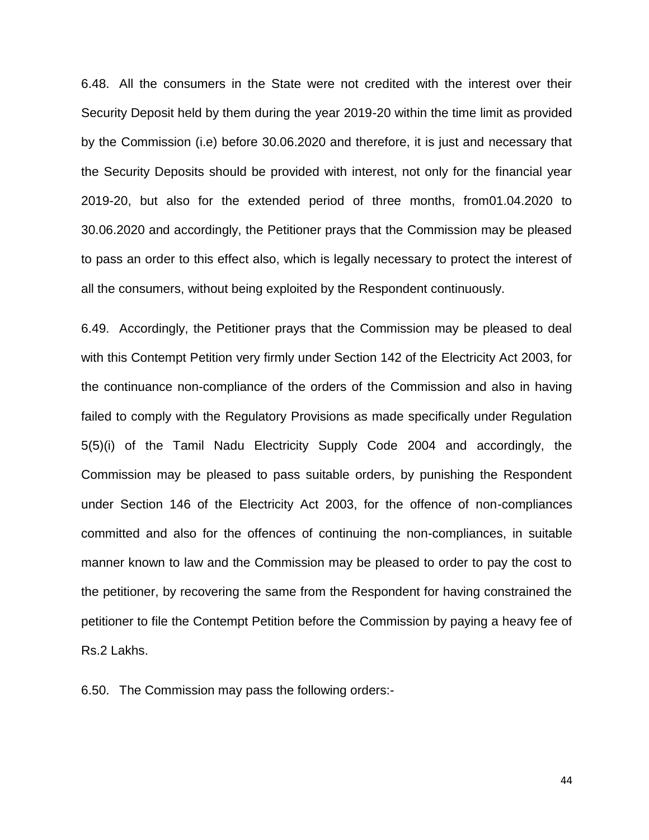6.48. All the consumers in the State were not credited with the interest over their Security Deposit held by them during the year 2019-20 within the time limit as provided by the Commission (i.e) before 30.06.2020 and therefore, it is just and necessary that the Security Deposits should be provided with interest, not only for the financial year 2019-20, but also for the extended period of three months, from01.04.2020 to 30.06.2020 and accordingly, the Petitioner prays that the Commission may be pleased to pass an order to this effect also, which is legally necessary to protect the interest of all the consumers, without being exploited by the Respondent continuously.

6.49. Accordingly, the Petitioner prays that the Commission may be pleased to deal with this Contempt Petition very firmly under Section 142 of the Electricity Act 2003, for the continuance non-compliance of the orders of the Commission and also in having failed to comply with the Regulatory Provisions as made specifically under Regulation 5(5)(i) of the Tamil Nadu Electricity Supply Code 2004 and accordingly, the Commission may be pleased to pass suitable orders, by punishing the Respondent under Section 146 of the Electricity Act 2003, for the offence of non-compliances committed and also for the offences of continuing the non-compliances, in suitable manner known to law and the Commission may be pleased to order to pay the cost to the petitioner, by recovering the same from the Respondent for having constrained the petitioner to file the Contempt Petition before the Commission by paying a heavy fee of Rs.2 Lakhs.

6.50. The Commission may pass the following orders:-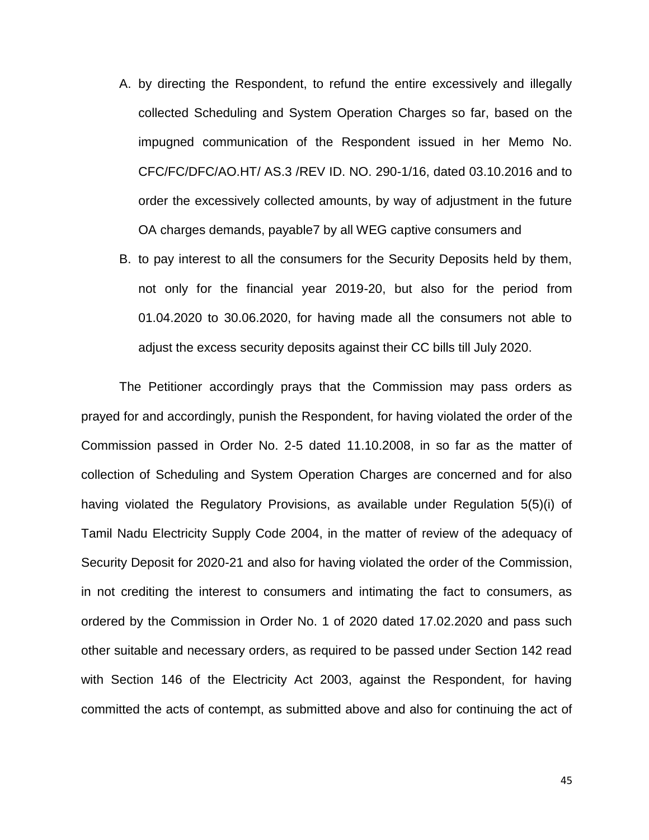- A. by directing the Respondent, to refund the entire excessively and illegally collected Scheduling and System Operation Charges so far, based on the impugned communication of the Respondent issued in her Memo No. CFC/FC/DFC/AO.HT/ AS.3 /REV ID. NO. 290-1/16, dated 03.10.2016 and to order the excessively collected amounts, by way of adjustment in the future OA charges demands, payable7 by all WEG captive consumers and
- B. to pay interest to all the consumers for the Security Deposits held by them, not only for the financial year 2019-20, but also for the period from 01.04.2020 to 30.06.2020, for having made all the consumers not able to adjust the excess security deposits against their CC bills till July 2020.

The Petitioner accordingly prays that the Commission may pass orders as prayed for and accordingly, punish the Respondent, for having violated the order of the Commission passed in Order No. 2-5 dated 11.10.2008, in so far as the matter of collection of Scheduling and System Operation Charges are concerned and for also having violated the Regulatory Provisions, as available under Regulation 5(5)(i) of Tamil Nadu Electricity Supply Code 2004, in the matter of review of the adequacy of Security Deposit for 2020-21 and also for having violated the order of the Commission, in not crediting the interest to consumers and intimating the fact to consumers, as ordered by the Commission in Order No. 1 of 2020 dated 17.02.2020 and pass such other suitable and necessary orders, as required to be passed under Section 142 read with Section 146 of the Electricity Act 2003, against the Respondent, for having committed the acts of contempt, as submitted above and also for continuing the act of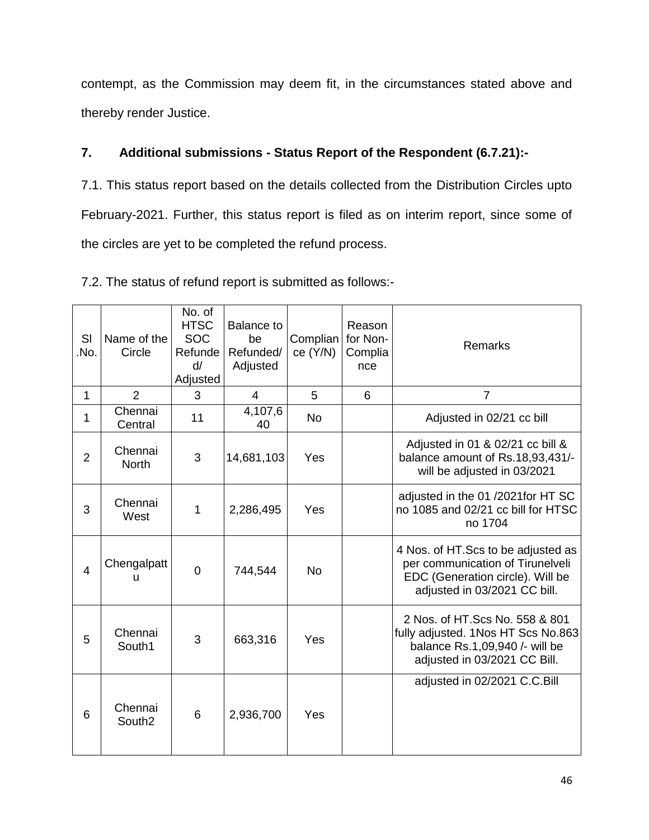contempt, as the Commission may deem fit, in the circumstances stated above and thereby render Justice.

# **7. Additional submissions - Status Report of the Respondent (6.7.21):-**

7.1. This status report based on the details collected from the Distribution Circles upto February-2021. Further, this status report is filed as on interim report, since some of the circles are yet to be completed the refund process.

| SI<br>No.      | Name of the<br>Circle         | No. of<br><b>HTSC</b><br><b>SOC</b><br>Refunde<br>d/<br>Adjusted | <b>Balance to</b><br>be<br>Refunded/<br>Adjusted | Complian<br>ce (Y/N) | Reason<br>for Non-<br>Complia<br>nce | Remarks                                                                                                                                     |
|----------------|-------------------------------|------------------------------------------------------------------|--------------------------------------------------|----------------------|--------------------------------------|---------------------------------------------------------------------------------------------------------------------------------------------|
| 1              | $\overline{2}$                | 3                                                                | $\overline{4}$                                   | 5                    | 6                                    | $\overline{7}$                                                                                                                              |
| 1              | Chennai<br>Central            | 11                                                               | 4,107,6<br>40                                    | <b>No</b>            |                                      | Adjusted in 02/21 cc bill                                                                                                                   |
| $\overline{2}$ | Chennai<br><b>North</b>       | 3                                                                | 14,681,103                                       | Yes                  |                                      | Adjusted in 01 & 02/21 cc bill &<br>balance amount of Rs.18,93,431/-<br>will be adjusted in 03/2021                                         |
| 3              | Chennai<br>West               | $\mathbf 1$                                                      | 2,286,495                                        | Yes                  |                                      | adjusted in the 01/2021 for HT SC<br>no 1085 and 02/21 cc bill for HTSC<br>no 1704                                                          |
| $\overline{4}$ | Chengalpatt<br>u              | $\overline{0}$                                                   | 744,544                                          | <b>No</b>            |                                      | 4 Nos. of HT. Scs to be adjusted as<br>per communication of Tirunelveli<br>EDC (Generation circle). Will be<br>adjusted in 03/2021 CC bill. |
| 5              | Chennai<br>South1             | 3                                                                | 663,316                                          | Yes                  |                                      | 2 Nos. of HT. Scs No. 558 & 801<br>fully adjusted. 1Nos HT Scs No.863<br>balance Rs.1,09,940 /- will be<br>adjusted in 03/2021 CC Bill.     |
| 6              | Chennai<br>South <sub>2</sub> | 6                                                                | 2,936,700                                        | Yes                  |                                      | adjusted in 02/2021 C.C.Bill                                                                                                                |

7.2. The status of refund report is submitted as follows:-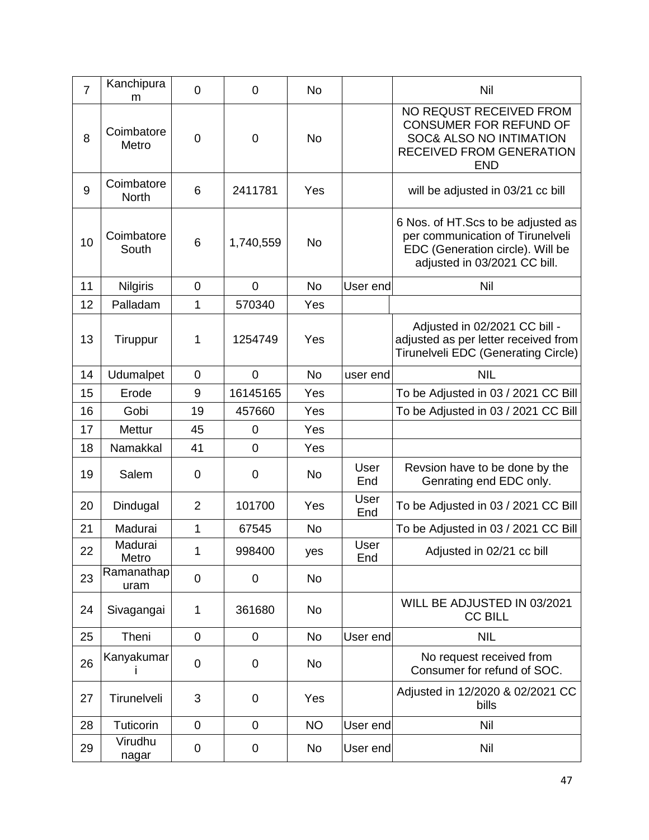| $\overline{7}$ | Kanchipura<br>m            | $\mathbf 0$    | $\overline{0}$ | No        |             | Nil                                                                                                                                         |
|----------------|----------------------------|----------------|----------------|-----------|-------------|---------------------------------------------------------------------------------------------------------------------------------------------|
| 8              | Coimbatore<br>Metro        | $\mathbf 0$    | $\overline{0}$ | <b>No</b> |             | NO REQUST RECEIVED FROM<br>CONSUMER FOR REFUND OF<br>SOC& ALSO NO INTIMATION<br><b>RECEIVED FROM GENERATION</b><br><b>END</b>               |
| 9              | Coimbatore<br><b>North</b> | 6              | 2411781        | Yes       |             | will be adjusted in 03/21 cc bill                                                                                                           |
| 10             | Coimbatore<br>South        | 6              | 1,740,559      | No        |             | 6 Nos. of HT. Scs to be adjusted as<br>per communication of Tirunelveli<br>EDC (Generation circle). Will be<br>adjusted in 03/2021 CC bill. |
| 11             | <b>Nilgiris</b>            | $\mathbf 0$    | $\overline{0}$ | <b>No</b> | User end    | Nil                                                                                                                                         |
| 12             | Palladam                   | 1              | 570340         | Yes       |             |                                                                                                                                             |
| 13             | Tiruppur                   | 1              | 1254749        | Yes       |             | Adjusted in 02/2021 CC bill -<br>adjusted as per letter received from<br>Tirunelveli EDC (Generating Circle)                                |
| 14             | Udumalpet                  | $\mathbf 0$    | $\overline{0}$ | <b>No</b> | user end    | <b>NIL</b>                                                                                                                                  |
| 15             | Erode                      | 9              | 16145165       | Yes       |             | To be Adjusted in 03 / 2021 CC Bill                                                                                                         |
| 16             | Gobi                       | 19             | 457660         | Yes       |             | To be Adjusted in 03 / 2021 CC Bill                                                                                                         |
| 17             | <b>Mettur</b>              | 45             | $\overline{0}$ | Yes       |             |                                                                                                                                             |
| 18             | Namakkal                   | 41             | $\overline{0}$ | Yes       |             |                                                                                                                                             |
| 19             | Salem                      | $\mathbf 0$    | 0              | <b>No</b> | User<br>End | Revsion have to be done by the<br>Genrating end EDC only.                                                                                   |
| 20             | Dindugal                   | 2              | 101700         | Yes       | User<br>End | To be Adjusted in 03 / 2021 CC Bill                                                                                                         |
| 21             | Madurai                    | 1              | 67545          | <b>No</b> |             | To be Adjusted in 03 / 2021 CC Bill                                                                                                         |
| 22             | Madurai<br>Metro           | 1              | 998400         | yes       | User<br>End | Adjusted in 02/21 cc bill                                                                                                                   |
| 23             | Ramanathap<br>uram         | $\mathbf 0$    | 0              | <b>No</b> |             |                                                                                                                                             |
| 24             | Sivagangai                 | 1              | 361680         | No        |             | WILL BE ADJUSTED IN 03/2021<br><b>CC BILL</b>                                                                                               |
| 25             | Theni                      | $\overline{0}$ | $\overline{0}$ | No        | User end    | <b>NIL</b>                                                                                                                                  |
| 26             | Kanyakumar                 | $\mathbf 0$    | $\overline{0}$ | No        |             | No request received from<br>Consumer for refund of SOC.                                                                                     |
| 27             | Tirunelveli                | 3              | $\overline{0}$ | Yes       |             | Adjusted in 12/2020 & 02/2021 CC<br>bills                                                                                                   |
| 28             | Tuticorin                  | $\mathbf 0$    | $\mathbf 0$    | <b>NO</b> | User end    | Nil                                                                                                                                         |
| 29             | Virudhu<br>nagar           | 0              | 0              | No        | User end    | Nil                                                                                                                                         |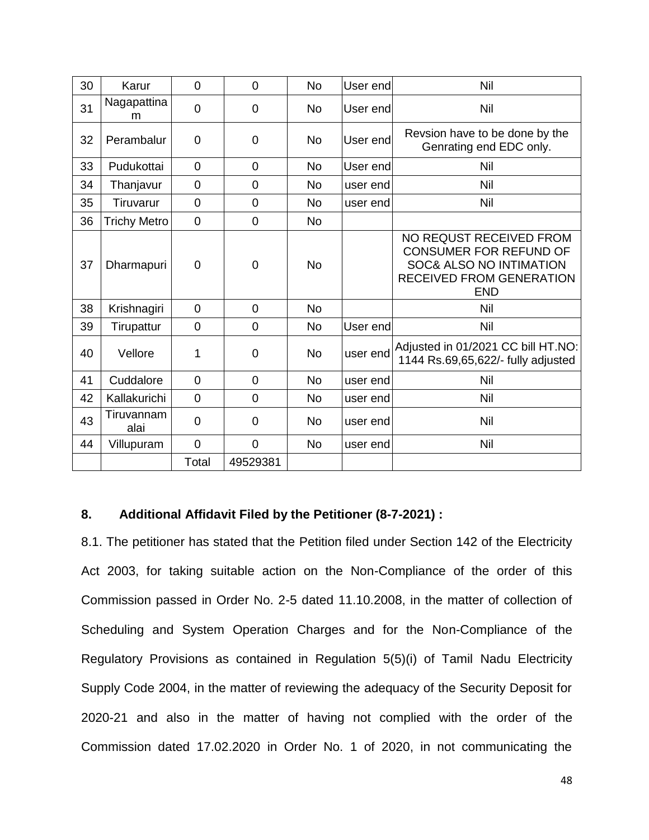| 30 | Karur               | $\overline{0}$ | $\overline{0}$ | <b>No</b> | User end | Nil                                                                                                                                             |
|----|---------------------|----------------|----------------|-----------|----------|-------------------------------------------------------------------------------------------------------------------------------------------------|
| 31 | Nagapattina<br>m    | $\overline{0}$ | $\overline{0}$ | <b>No</b> | User end | Nil                                                                                                                                             |
| 32 | Perambalur          | $\overline{0}$ | 0              | <b>No</b> | User end | Revsion have to be done by the<br>Genrating end EDC only.                                                                                       |
| 33 | Pudukottai          | $\overline{0}$ | $\overline{0}$ | <b>No</b> | User end | Nil                                                                                                                                             |
| 34 | Thanjavur           | $\mathbf 0$    | $\overline{0}$ | <b>No</b> | user end | Nil                                                                                                                                             |
| 35 | Tiruvarur           | $\mathbf 0$    | $\overline{0}$ | <b>No</b> | user end | Nil                                                                                                                                             |
| 36 | <b>Trichy Metro</b> | $\overline{0}$ | $\overline{0}$ | <b>No</b> |          |                                                                                                                                                 |
| 37 | Dharmapuri          | $\mathbf 0$    | $\overline{0}$ | <b>No</b> |          | NO REQUST RECEIVED FROM<br><b>CONSUMER FOR REFUND OF</b><br><b>SOC&amp; ALSO NO INTIMATION</b><br><b>RECEIVED FROM GENERATION</b><br><b>END</b> |
| 38 | Krishnagiri         | $\overline{0}$ | $\Omega$       | <b>No</b> |          | Nil                                                                                                                                             |
| 39 | Tirupattur          | $\overline{0}$ | $\overline{0}$ | <b>No</b> | User end | Nil                                                                                                                                             |
| 40 | Vellore             | 1              | $\overline{0}$ | <b>No</b> | user end | Adjusted in 01/2021 CC bill HT.NO:<br>1144 Rs.69,65,622/- fully adjusted                                                                        |
| 41 | Cuddalore           | $\overline{0}$ | $\overline{0}$ | <b>No</b> | user end | Nil                                                                                                                                             |
| 42 | Kallakurichi        | $\mathbf 0$    | 0              | <b>No</b> | user end | Nil                                                                                                                                             |
| 43 | Tiruvannam<br>alai  | $\overline{0}$ | 0              | No.       | user end | Nil                                                                                                                                             |
| 44 | Villupuram          | $\overline{0}$ | $\Omega$       | <b>No</b> | user end | Nil                                                                                                                                             |
|    |                     | Total          | 49529381       |           |          |                                                                                                                                                 |

## **8. Additional Affidavit Filed by the Petitioner (8-7-2021) :**

8.1. The petitioner has stated that the Petition filed under Section 142 of the Electricity Act 2003, for taking suitable action on the Non-Compliance of the order of this Commission passed in Order No. 2-5 dated 11.10.2008, in the matter of collection of Scheduling and System Operation Charges and for the Non-Compliance of the Regulatory Provisions as contained in Regulation 5(5)(i) of Tamil Nadu Electricity Supply Code 2004, in the matter of reviewing the adequacy of the Security Deposit for 2020-21 and also in the matter of having not complied with the order of the Commission dated 17.02.2020 in Order No. 1 of 2020, in not communicating the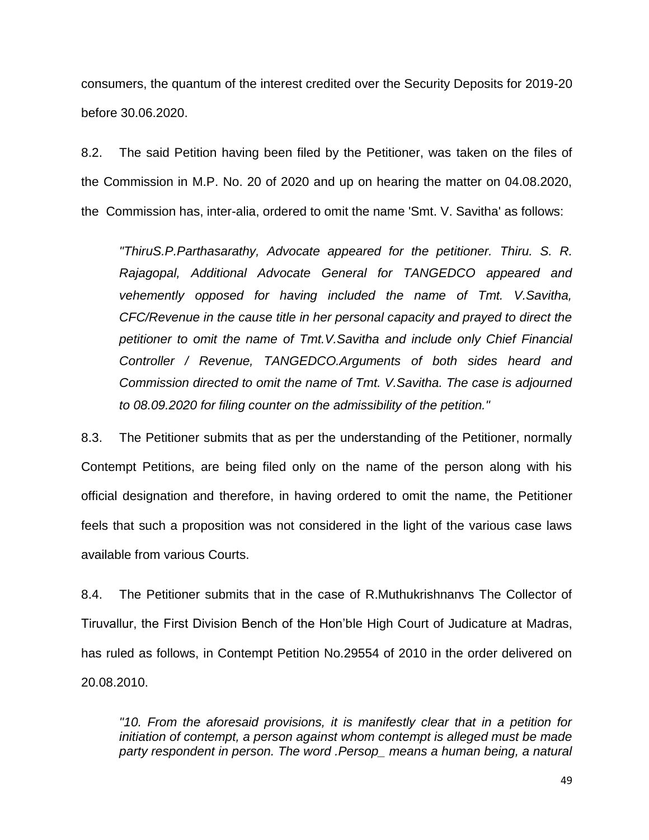consumers, the quantum of the interest credited over the Security Deposits for 2019-20 before 30.06.2020.

8.2. The said Petition having been filed by the Petitioner, was taken on the files of the Commission in M.P. No. 20 of 2020 and up on hearing the matter on 04.08.2020, the Commission has, inter-alia, ordered to omit the name 'Smt. V. Savitha' as follows:

*"ThiruS.P.Parthasarathy, Advocate appeared for the petitioner. Thiru. S. R. Rajagopal, Additional Advocate General for TANGEDCO appeared and vehemently opposed for having included the name of Tmt. V.Savitha, CFC/Revenue in the cause title in her personal capacity and prayed to direct the petitioner to omit the name of Tmt.V.Savitha and include only Chief Financial Controller / Revenue, TANGEDCO.Arguments of both sides heard and Commission directed to omit the name of Tmt. V.Savitha. The case is adjourned to 08.09.2020 for filing counter on the admissibility of the petition."*

8.3. The Petitioner submits that as per the understanding of the Petitioner, normally Contempt Petitions, are being filed only on the name of the person along with his official designation and therefore, in having ordered to omit the name, the Petitioner feels that such a proposition was not considered in the light of the various case laws available from various Courts.

8.4. The Petitioner submits that in the case of R.Muthukrishnanvs The Collector of Tiruvallur, the First Division Bench of the Hon'ble High Court of Judicature at Madras, has ruled as follows, in Contempt Petition No.29554 of 2010 in the order delivered on 20.08.2010.

*"10. From the aforesaid provisions, it is manifestly clear that in a petition for initiation of contempt, a person against whom contempt is alleged must be made party respondent in person. The word .Persop\_ means a human being, a natural*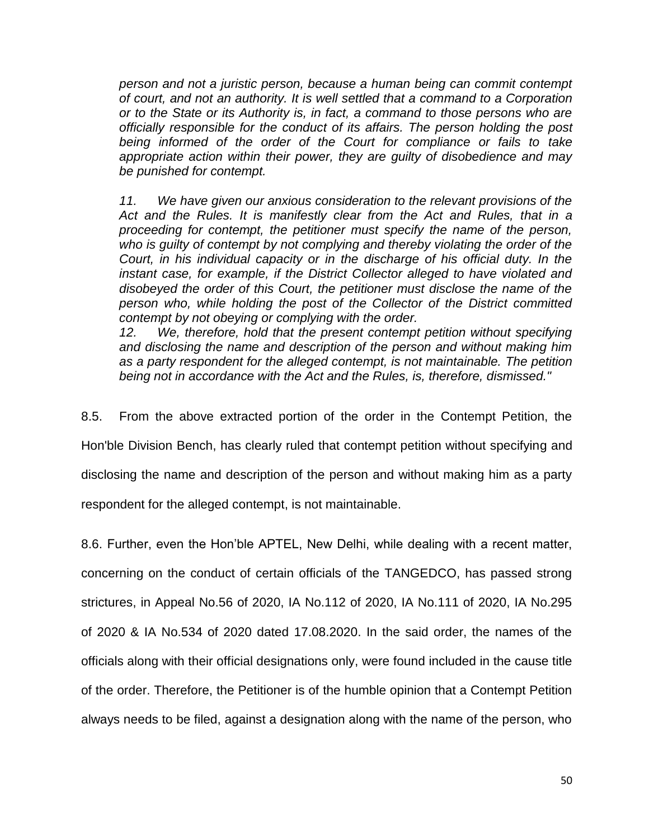*person and not a juristic person, because a human being can commit contempt of court, and not an authority. It is well settled that a command to a Corporation or to the State or its Authority is, in fact, a command to those persons who are officially responsible for the conduct of its affairs. The person holding the post being informed of the order of the Court for compliance or fails to take appropriate action within their power, they are guilty of disobedience and may be punished for contempt.*

*11. We have given our anxious consideration to the relevant provisions of the Act and the Rules. It is manifestly clear from the Act and Rules, that in a proceeding for contempt, the petitioner must specify the name of the person, who is guilty of contempt by not complying and thereby violating the order of the Court, in his individual capacity or in the discharge of his official duty. In the instant case, for example, if the District Collector alleged to have violated and disobeyed the order of this Court, the petitioner must disclose the name of the person who, while holding the post of the Collector of the District committed contempt by not obeying or complying with the order.*

*12. We, therefore, hold that the present contempt petition without specifying and disclosing the name and description of the person and without making him as a party respondent for the alleged contempt, is not maintainable. The petition being not in accordance with the Act and the Rules, is, therefore, dismissed."*

8.5. From the above extracted portion of the order in the Contempt Petition, the Hon'ble Division Bench, has clearly ruled that contempt petition without specifying and disclosing the name and description of the person and without making him as a party respondent for the alleged contempt, is not maintainable.

8.6. Further, even the Hon'ble APTEL, New Delhi, while dealing with a recent matter, concerning on the conduct of certain officials of the TANGEDCO, has passed strong strictures, in Appeal No.56 of 2020, IA No.112 of 2020, IA No.111 of 2020, IA No.295 of 2020 & IA No.534 of 2020 dated 17.08.2020. In the said order, the names of the officials along with their official designations only, were found included in the cause title of the order. Therefore, the Petitioner is of the humble opinion that a Contempt Petition always needs to be filed, against a designation along with the name of the person, who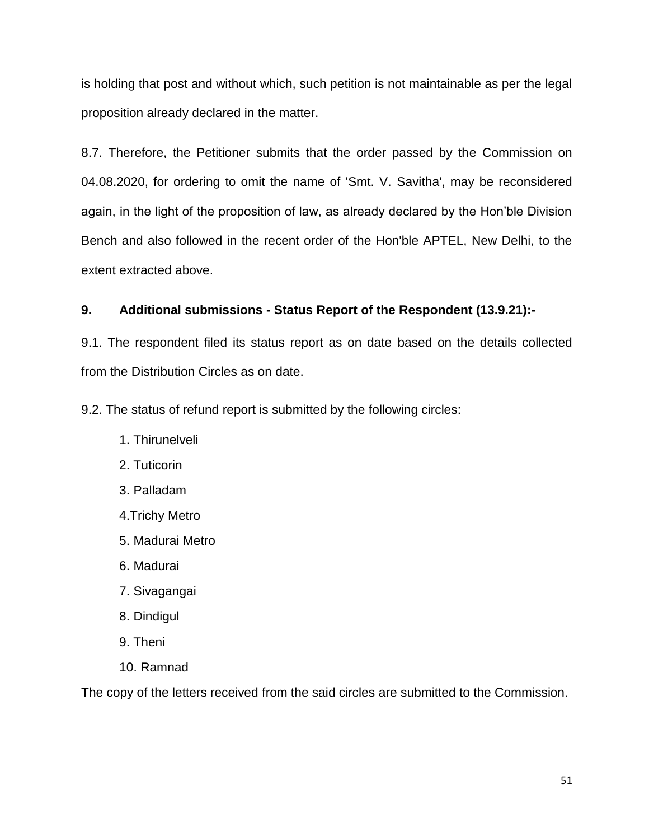is holding that post and without which, such petition is not maintainable as per the legal proposition already declared in the matter.

8.7. Therefore, the Petitioner submits that the order passed by the Commission on 04.08.2020, for ordering to omit the name of 'Smt. V. Savitha', may be reconsidered again, in the light of the proposition of law, as already declared by the Hon'ble Division Bench and also followed in the recent order of the Hon'ble APTEL, New Delhi, to the extent extracted above.

# **9. Additional submissions - Status Report of the Respondent (13.9.21):-**

9.1. The respondent filed its status report as on date based on the details collected from the Distribution Circles as on date.

9.2. The status of refund report is submitted by the following circles:

- 1. Thirunelveli
- 2. Tuticorin
- 3. Palladam
- 4.Trichy Metro
- 5. Madurai Metro
- 6. Madurai
- 7. Sivagangai
- 8. Dindigul
- 9. Theni
- 10. Ramnad

The copy of the letters received from the said circles are submitted to the Commission.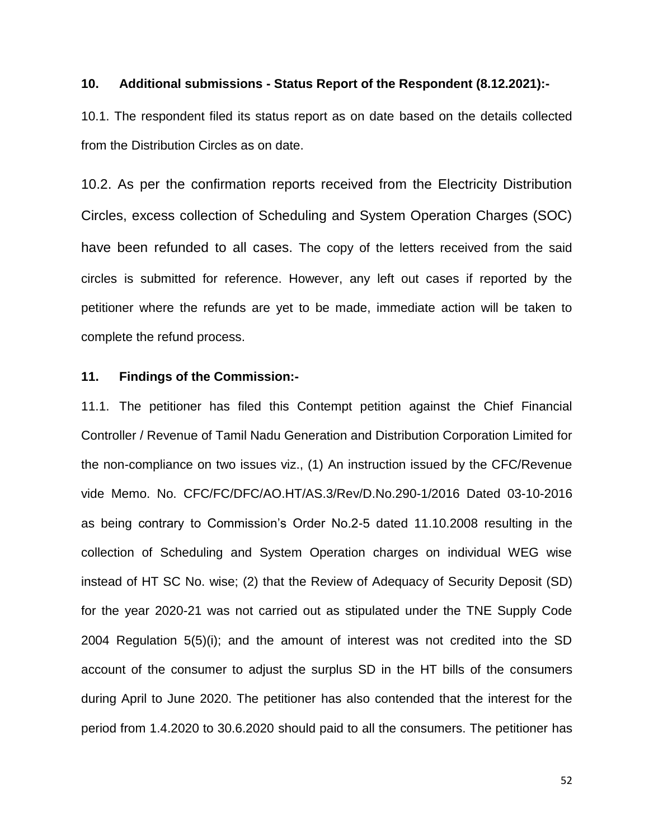## **10. Additional submissions - Status Report of the Respondent (8.12.2021):-**

10.1. The respondent filed its status report as on date based on the details collected from the Distribution Circles as on date.

10.2. As per the confirmation reports received from the Electricity Distribution Circles, excess collection of Scheduling and System Operation Charges (SOC) have been refunded to all cases. The copy of the letters received from the said circles is submitted for reference. However, any left out cases if reported by the petitioner where the refunds are yet to be made, immediate action will be taken to complete the refund process.

#### **11. Findings of the Commission:-**

11.1. The petitioner has filed this Contempt petition against the Chief Financial Controller / Revenue of Tamil Nadu Generation and Distribution Corporation Limited for the non-compliance on two issues viz., (1) An instruction issued by the CFC/Revenue vide Memo. No. CFC/FC/DFC/AO.HT/AS.3/Rev/D.No.290-1/2016 Dated 03-10-2016 as being contrary to Commission's Order No.2-5 dated 11.10.2008 resulting in the collection of Scheduling and System Operation charges on individual WEG wise instead of HT SC No. wise; (2) that the Review of Adequacy of Security Deposit (SD) for the year 2020-21 was not carried out as stipulated under the TNE Supply Code 2004 Regulation 5(5)(i); and the amount of interest was not credited into the SD account of the consumer to adjust the surplus SD in the HT bills of the consumers during April to June 2020. The petitioner has also contended that the interest for the period from 1.4.2020 to 30.6.2020 should paid to all the consumers. The petitioner has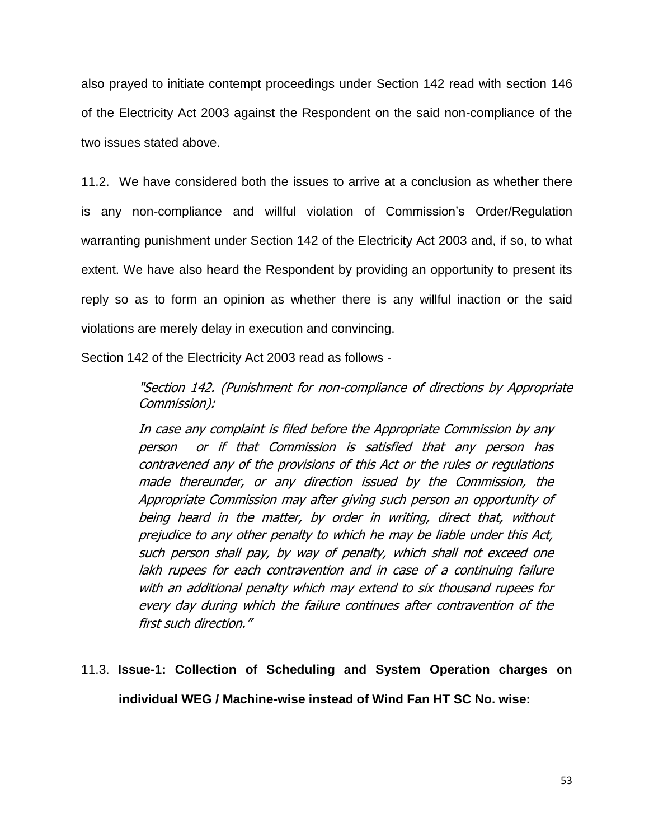also prayed to initiate contempt proceedings under Section 142 read with section 146 of the Electricity Act 2003 against the Respondent on the said non-compliance of the two issues stated above.

11.2. We have considered both the issues to arrive at a conclusion as whether there is any non-compliance and willful violation of Commission's Order/Regulation warranting punishment under Section 142 of the Electricity Act 2003 and, if so, to what extent. We have also heard the Respondent by providing an opportunity to present its reply so as to form an opinion as whether there is any willful inaction or the said violations are merely delay in execution and convincing.

Section 142 of the Electricity Act 2003 read as follows -

"Section 142. (Punishment for non-compliance of directions by Appropriate Commission):

In case any complaint is filed before the Appropriate Commission by any person or if that Commission is satisfied that any person has contravened any of the provisions of this Act or the rules or regulations made thereunder, or any direction issued by the Commission, the Appropriate Commission may after giving such person an opportunity of being heard in the matter, by order in writing, direct that, without prejudice to any other penalty to which he may be liable under this Act, such person shall pay, by way of penalty, which shall not exceed one lakh rupees for each contravention and in case of a continuing failure with an additional penalty which may extend to six thousand rupees for every day during which the failure continues after contravention of the first such direction."

# 11.3. **Issue-1: Collection of Scheduling and System Operation charges on individual WEG / Machine-wise instead of Wind Fan HT SC No. wise:**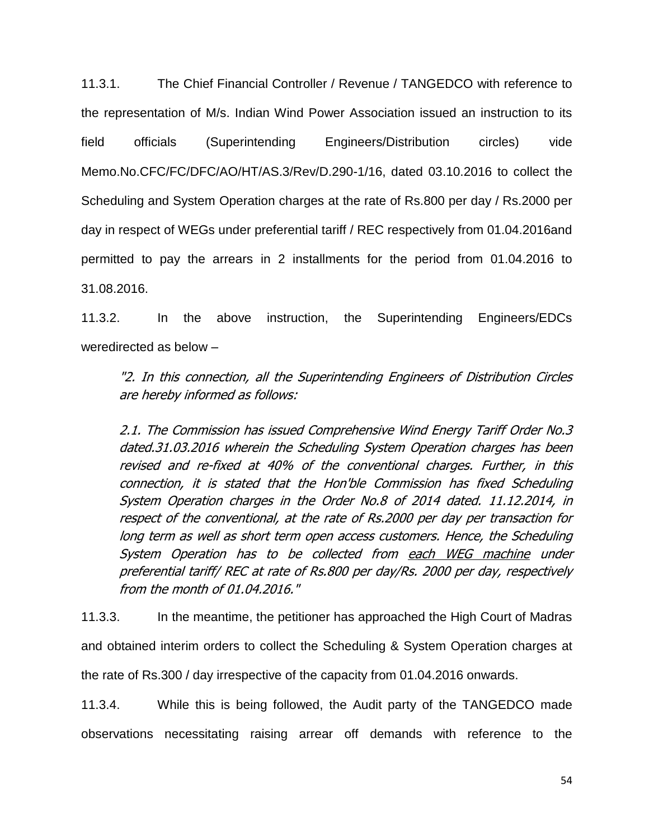11.3.1. The Chief Financial Controller / Revenue / TANGEDCO with reference to the representation of M/s. Indian Wind Power Association issued an instruction to its field officials (Superintending Engineers/Distribution circles) vide Memo.No.CFC/FC/DFC/AO/HT/AS.3/Rev/D.290-1/16, dated 03.10.2016 to collect the Scheduling and System Operation charges at the rate of Rs.800 per day / Rs.2000 per day in respect of WEGs under preferential tariff / REC respectively from 01.04.2016and permitted to pay the arrears in 2 installments for the period from 01.04.2016 to 31.08.2016.

11.3.2. In the above instruction, the Superintending Engineers/EDCs weredirected as below –

"2. In this connection, all the Superintending Engineers of Distribution Circles are hereby informed as follows:

2.1. The Commission has issued Comprehensive Wind Energy Tariff Order No.3 dated.31.03.2016 wherein the Scheduling System Operation charges has been revised and re-fixed at 40% of the conventional charges. Further, in this connection, it is stated that the Hon'ble Commission has fixed Scheduling System Operation charges in the Order No.8 of 2014 dated. 11.12.2014, in respect of the conventional, at the rate of Rs.2000 per day per transaction for long term as well as short term open access customers. Hence, the Scheduling System Operation has to be collected from each WEG machine under preferential tariff/ REC at rate of Rs.800 per day/Rs. 2000 per day, respectively from the month of 01.04.2016."

11.3.3. In the meantime, the petitioner has approached the High Court of Madras and obtained interim orders to collect the Scheduling & System Operation charges at the rate of Rs.300 / day irrespective of the capacity from 01.04.2016 onwards.

11.3.4. While this is being followed, the Audit party of the TANGEDCO made observations necessitating raising arrear off demands with reference to the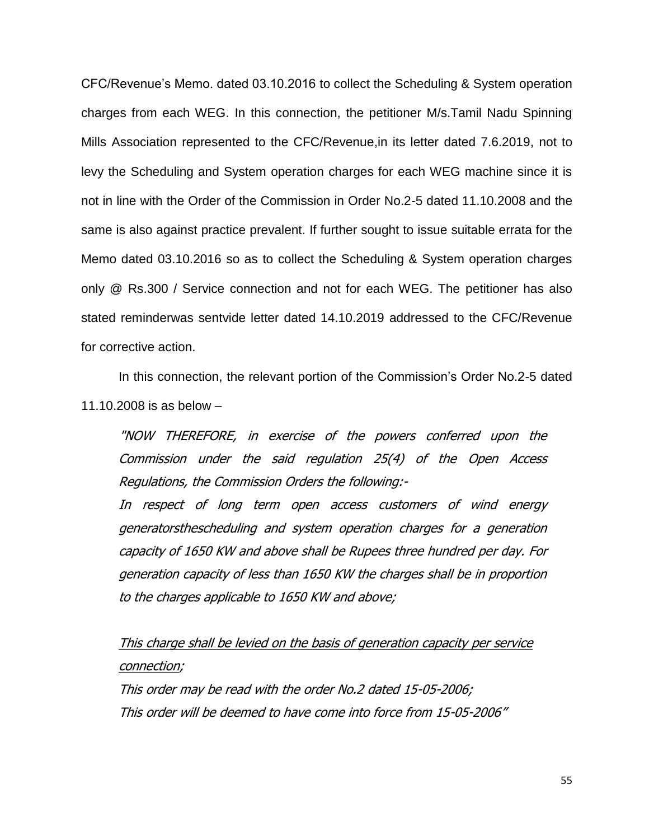CFC/Revenue's Memo. dated 03.10.2016 to collect the Scheduling & System operation charges from each WEG. In this connection, the petitioner M/s.Tamil Nadu Spinning Mills Association represented to the CFC/Revenue,in its letter dated 7.6.2019, not to levy the Scheduling and System operation charges for each WEG machine since it is not in line with the Order of the Commission in Order No.2-5 dated 11.10.2008 and the same is also against practice prevalent. If further sought to issue suitable errata for the Memo dated 03.10.2016 so as to collect the Scheduling & System operation charges only @ Rs.300 / Service connection and not for each WEG. The petitioner has also stated reminderwas sentvide letter dated 14.10.2019 addressed to the CFC/Revenue for corrective action.

In this connection, the relevant portion of the Commission's Order No.2-5 dated 11.10.2008 is as below –

"NOW THEREFORE, in exercise of the powers conferred upon the Commission under the said regulation 25(4) of the Open Access Regulations, the Commission Orders the following:-

In respect of long term open access customers of wind energy generatorsthescheduling and system operation charges for a generation capacity of 1650 KW and above shall be Rupees three hundred per day. For generation capacity of less than 1650 KW the charges shall be in proportion to the charges applicable to 1650 KW and above;

This charge shall be levied on the basis of generation capacity per service connection;

This order may be read with the order No.2 dated 15-05-2006; This order will be deemed to have come into force from 15-05-2006"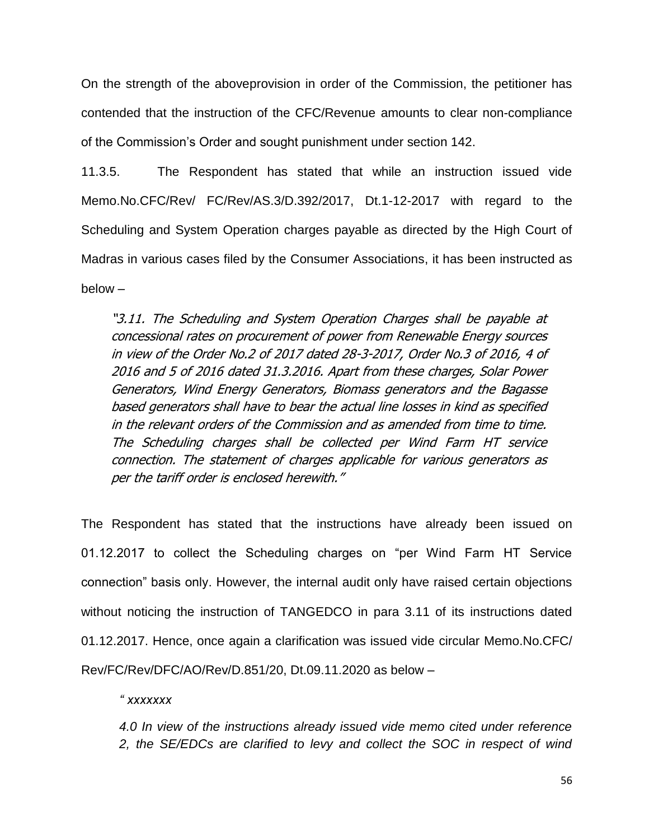On the strength of the aboveprovision in order of the Commission, the petitioner has contended that the instruction of the CFC/Revenue amounts to clear non-compliance of the Commission's Order and sought punishment under section 142.

11.3.5. The Respondent has stated that while an instruction issued vide Memo.No.CFC/Rev/ FC/Rev/AS.3/D.392/2017, Dt.1-12-2017 with regard to the Scheduling and System Operation charges payable as directed by the High Court of Madras in various cases filed by the Consumer Associations, it has been instructed as below –

"3.11. The Scheduling and System Operation Charges shall be payable at concessional rates on procurement of power from Renewable Energy sources in view of the Order No.2 of 2017 dated 28-3-2017, Order No.3 of 2016, 4 of 2016 and 5 of 2016 dated 31.3.2016. Apart from these charges, Solar Power Generators, Wind Energy Generators, Biomass generators and the Bagasse based generators shall have to bear the actual line losses in kind as specified in the relevant orders of the Commission and as amended from time to time. The Scheduling charges shall be collected per Wind Farm HT service connection. The statement of charges applicable for various generators as per the tariff order is enclosed herewith."

The Respondent has stated that the instructions have already been issued on 01.12.2017 to collect the Scheduling charges on "per Wind Farm HT Service connection" basis only. However, the internal audit only have raised certain objections without noticing the instruction of TANGEDCO in para 3.11 of its instructions dated 01.12.2017. Hence, once again a clarification was issued vide circular Memo.No.CFC/ Rev/FC/Rev/DFC/AO/Rev/D.851/20, Dt.09.11.2020 as below –

*" xxxxxxx*

*4.0 In view of the instructions already issued vide memo cited under reference 2, the SE/EDCs are clarified to levy and collect the SOC in respect of wind*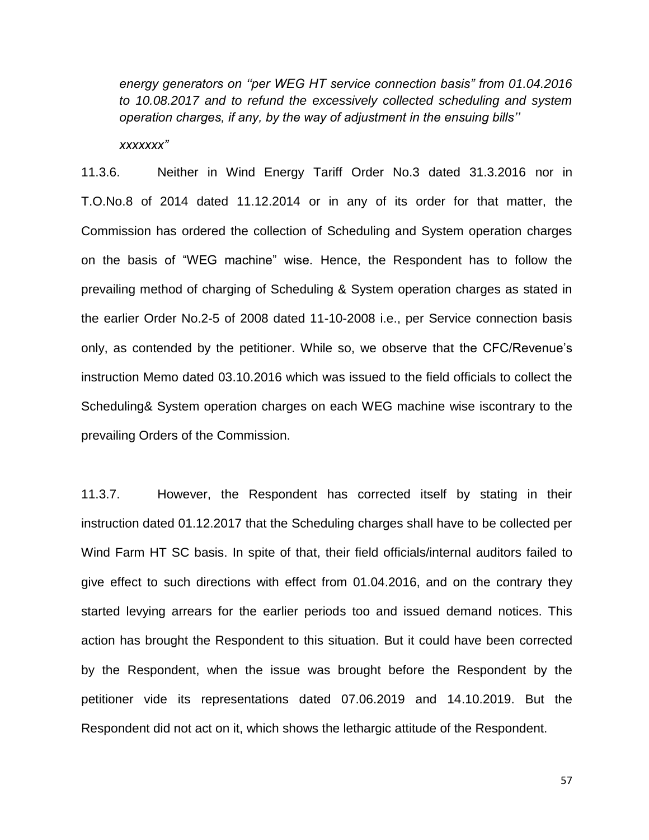*energy generators on ""per WEG HT service connection basis" from 01.04.2016 to 10.08.2017 and to refund the excessively collected scheduling and system operation charges, if any, by the way of adjustment in the ensuing bills""*

*xxxxxxx"*

11.3.6. Neither in Wind Energy Tariff Order No.3 dated 31.3.2016 nor in T.O.No.8 of 2014 dated 11.12.2014 or in any of its order for that matter, the Commission has ordered the collection of Scheduling and System operation charges on the basis of "WEG machine" wise. Hence, the Respondent has to follow the prevailing method of charging of Scheduling & System operation charges as stated in the earlier Order No.2-5 of 2008 dated 11-10-2008 i.e., per Service connection basis only, as contended by the petitioner. While so, we observe that the CFC/Revenue's instruction Memo dated 03.10.2016 which was issued to the field officials to collect the Scheduling& System operation charges on each WEG machine wise iscontrary to the prevailing Orders of the Commission.

11.3.7. However, the Respondent has corrected itself by stating in their instruction dated 01.12.2017 that the Scheduling charges shall have to be collected per Wind Farm HT SC basis. In spite of that, their field officials/internal auditors failed to give effect to such directions with effect from 01.04.2016, and on the contrary they started levying arrears for the earlier periods too and issued demand notices. This action has brought the Respondent to this situation. But it could have been corrected by the Respondent, when the issue was brought before the Respondent by the petitioner vide its representations dated 07.06.2019 and 14.10.2019. But the Respondent did not act on it, which shows the lethargic attitude of the Respondent.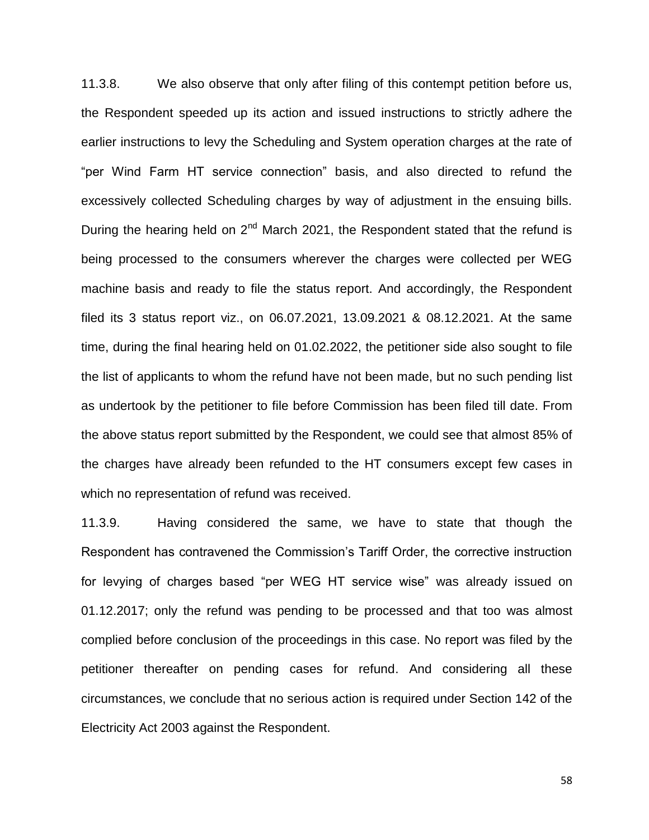11.3.8. We also observe that only after filing of this contempt petition before us, the Respondent speeded up its action and issued instructions to strictly adhere the earlier instructions to levy the Scheduling and System operation charges at the rate of "per Wind Farm HT service connection" basis, and also directed to refund the excessively collected Scheduling charges by way of adjustment in the ensuing bills. During the hearing held on  $2<sup>nd</sup>$  March 2021, the Respondent stated that the refund is being processed to the consumers wherever the charges were collected per WEG machine basis and ready to file the status report. And accordingly, the Respondent filed its 3 status report viz., on 06.07.2021, 13.09.2021 & 08.12.2021. At the same time, during the final hearing held on 01.02.2022, the petitioner side also sought to file the list of applicants to whom the refund have not been made, but no such pending list as undertook by the petitioner to file before Commission has been filed till date. From the above status report submitted by the Respondent, we could see that almost 85% of the charges have already been refunded to the HT consumers except few cases in which no representation of refund was received.

11.3.9. Having considered the same, we have to state that though the Respondent has contravened the Commission's Tariff Order, the corrective instruction for levying of charges based "per WEG HT service wise" was already issued on 01.12.2017; only the refund was pending to be processed and that too was almost complied before conclusion of the proceedings in this case. No report was filed by the petitioner thereafter on pending cases for refund. And considering all these circumstances, we conclude that no serious action is required under Section 142 of the Electricity Act 2003 against the Respondent.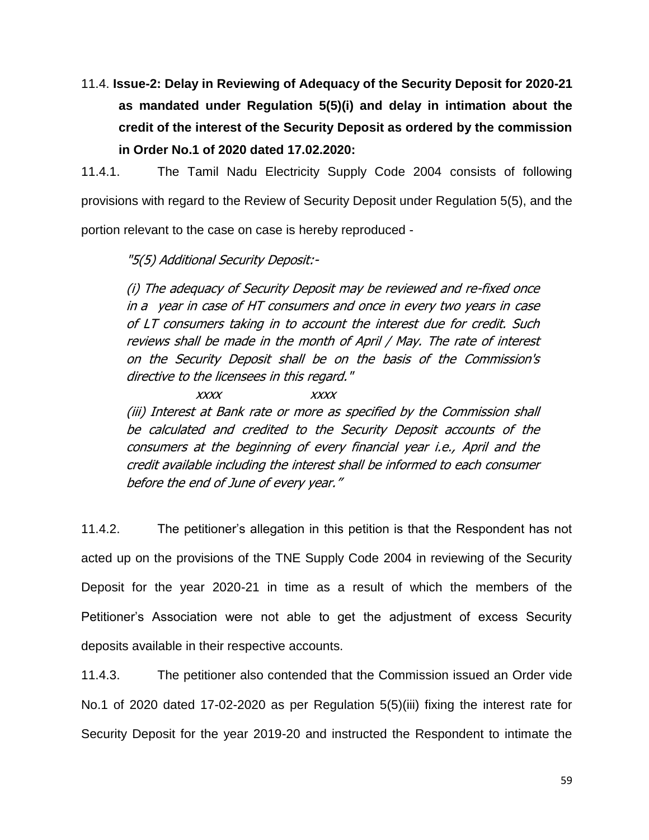11.4. **Issue-2: Delay in Reviewing of Adequacy of the Security Deposit for 2020-21 as mandated under Regulation 5(5)(i) and delay in intimation about the credit of the interest of the Security Deposit as ordered by the commission in Order No.1 of 2020 dated 17.02.2020:**

11.4.1. The Tamil Nadu Electricity Supply Code 2004 consists of following provisions with regard to the Review of Security Deposit under Regulation 5(5), and the portion relevant to the case on case is hereby reproduced -

"5(5) Additional Security Deposit:-

(i) The adequacy of Security Deposit may be reviewed and re-fixed once in a year in case of HT consumers and once in every two years in case of LT consumers taking in to account the interest due for credit. Such reviews shall be made in the month of April / May. The rate of interest on the Security Deposit shall be on the basis of the Commission's directive to the licensees in this regard."

xxxx xxxx (iii) Interest at Bank rate or more as specified by the Commission shall be calculated and credited to the Security Deposit accounts of the consumers at the beginning of every financial year i.e., April and the credit available including the interest shall be informed to each consumer before the end of June of every year."

11.4.2. The petitioner's allegation in this petition is that the Respondent has not acted up on the provisions of the TNE Supply Code 2004 in reviewing of the Security Deposit for the year 2020-21 in time as a result of which the members of the Petitioner's Association were not able to get the adjustment of excess Security deposits available in their respective accounts.

11.4.3. The petitioner also contended that the Commission issued an Order vide No.1 of 2020 dated 17-02-2020 as per Regulation 5(5)(iii) fixing the interest rate for Security Deposit for the year 2019-20 and instructed the Respondent to intimate the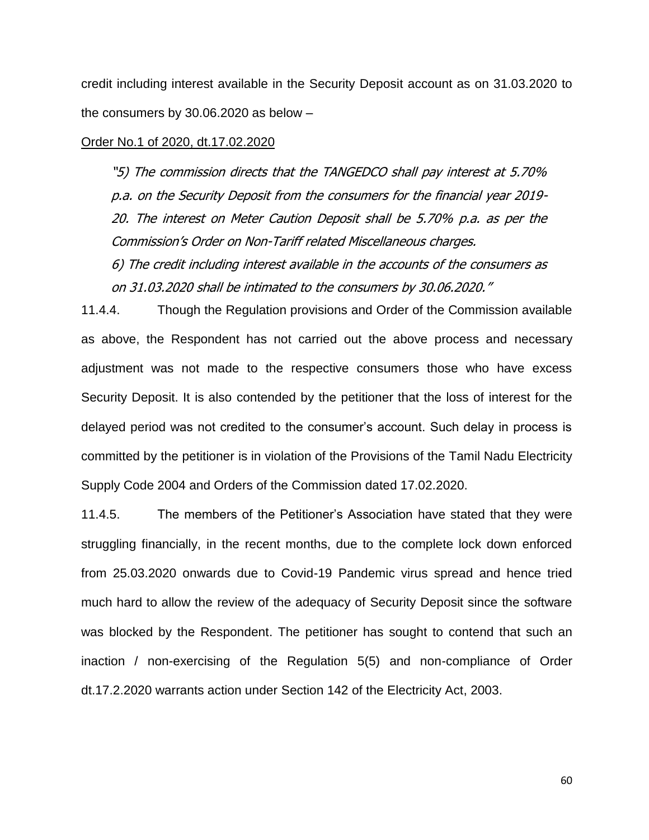credit including interest available in the Security Deposit account as on 31.03.2020 to the consumers by 30.06.2020 as below –

#### Order No.1 of 2020, dt.17.02.2020

"5) The commission directs that the TANGEDCO shall pay interest at 5.70% p.a. on the Security Deposit from the consumers for the financial year 2019- 20. The interest on Meter Caution Deposit shall be 5.70% p.a. as per the Commission's Order on Non-Tariff related Miscellaneous charges.

6) The credit including interest available in the accounts of the consumers as on 31.03.2020 shall be intimated to the consumers by 30.06.2020."

11.4.4. Though the Regulation provisions and Order of the Commission available as above, the Respondent has not carried out the above process and necessary adjustment was not made to the respective consumers those who have excess Security Deposit. It is also contended by the petitioner that the loss of interest for the delayed period was not credited to the consumer's account. Such delay in process is committed by the petitioner is in violation of the Provisions of the Tamil Nadu Electricity Supply Code 2004 and Orders of the Commission dated 17.02.2020.

11.4.5. The members of the Petitioner's Association have stated that they were struggling financially, in the recent months, due to the complete lock down enforced from 25.03.2020 onwards due to Covid-19 Pandemic virus spread and hence tried much hard to allow the review of the adequacy of Security Deposit since the software was blocked by the Respondent. The petitioner has sought to contend that such an inaction / non-exercising of the Regulation 5(5) and non-compliance of Order dt.17.2.2020 warrants action under Section 142 of the Electricity Act, 2003.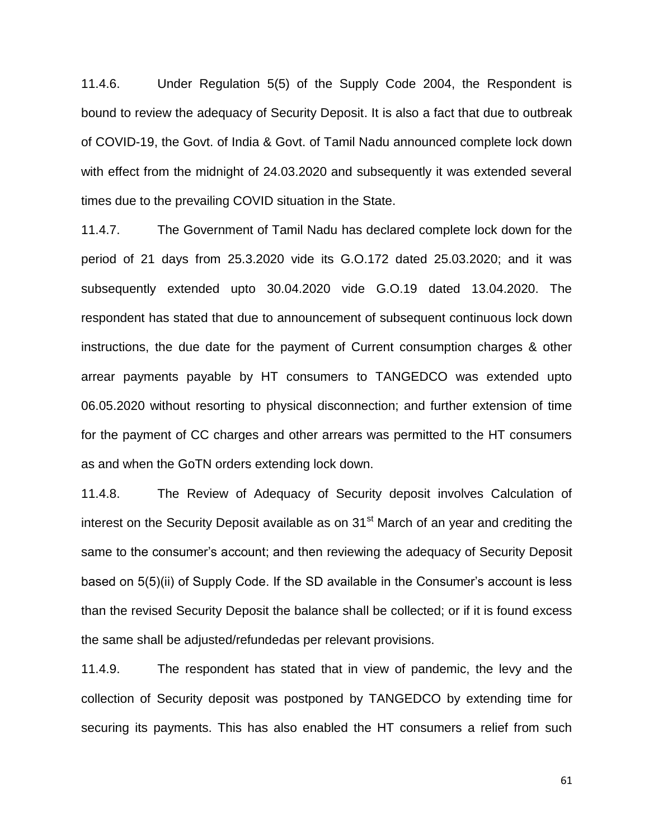11.4.6. Under Regulation 5(5) of the Supply Code 2004, the Respondent is bound to review the adequacy of Security Deposit. It is also a fact that due to outbreak of COVID-19, the Govt. of India & Govt. of Tamil Nadu announced complete lock down with effect from the midnight of 24.03.2020 and subsequently it was extended several times due to the prevailing COVID situation in the State.

11.4.7. The Government of Tamil Nadu has declared complete lock down for the period of 21 days from 25.3.2020 vide its G.O.172 dated 25.03.2020; and it was subsequently extended upto 30.04.2020 vide G.O.19 dated 13.04.2020. The respondent has stated that due to announcement of subsequent continuous lock down instructions, the due date for the payment of Current consumption charges & other arrear payments payable by HT consumers to TANGEDCO was extended upto 06.05.2020 without resorting to physical disconnection; and further extension of time for the payment of CC charges and other arrears was permitted to the HT consumers as and when the GoTN orders extending lock down.

11.4.8. The Review of Adequacy of Security deposit involves Calculation of interest on the Security Deposit available as on  $31<sup>st</sup>$  March of an year and crediting the same to the consumer's account; and then reviewing the adequacy of Security Deposit based on 5(5)(ii) of Supply Code. If the SD available in the Consumer's account is less than the revised Security Deposit the balance shall be collected; or if it is found excess the same shall be adjusted/refundedas per relevant provisions.

11.4.9. The respondent has stated that in view of pandemic, the levy and the collection of Security deposit was postponed by TANGEDCO by extending time for securing its payments. This has also enabled the HT consumers a relief from such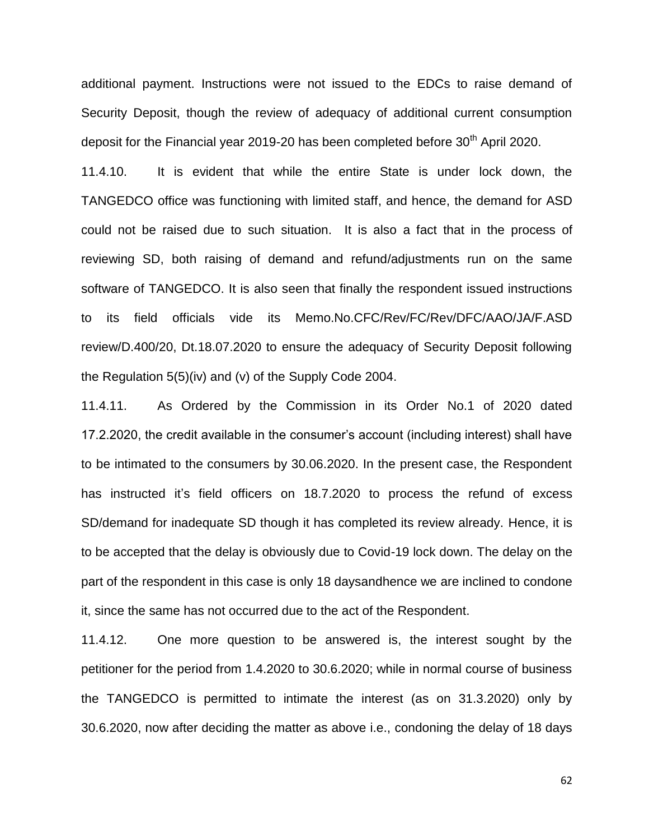additional payment. Instructions were not issued to the EDCs to raise demand of Security Deposit, though the review of adequacy of additional current consumption deposit for the Financial year 2019-20 has been completed before  $30<sup>th</sup>$  April 2020.

11.4.10. It is evident that while the entire State is under lock down, the TANGEDCO office was functioning with limited staff, and hence, the demand for ASD could not be raised due to such situation. It is also a fact that in the process of reviewing SD, both raising of demand and refund/adjustments run on the same software of TANGEDCO. It is also seen that finally the respondent issued instructions to its field officials vide its Memo.No.CFC/Rev/FC/Rev/DFC/AAO/JA/F.ASD review/D.400/20, Dt.18.07.2020 to ensure the adequacy of Security Deposit following the Regulation 5(5)(iv) and (v) of the Supply Code 2004.

11.4.11. As Ordered by the Commission in its Order No.1 of 2020 dated 17.2.2020, the credit available in the consumer's account (including interest) shall have to be intimated to the consumers by 30.06.2020. In the present case, the Respondent has instructed it's field officers on 18.7.2020 to process the refund of excess SD/demand for inadequate SD though it has completed its review already. Hence, it is to be accepted that the delay is obviously due to Covid-19 lock down. The delay on the part of the respondent in this case is only 18 daysandhence we are inclined to condone it, since the same has not occurred due to the act of the Respondent.

11.4.12. One more question to be answered is, the interest sought by the petitioner for the period from 1.4.2020 to 30.6.2020; while in normal course of business the TANGEDCO is permitted to intimate the interest (as on 31.3.2020) only by 30.6.2020, now after deciding the matter as above i.e., condoning the delay of 18 days